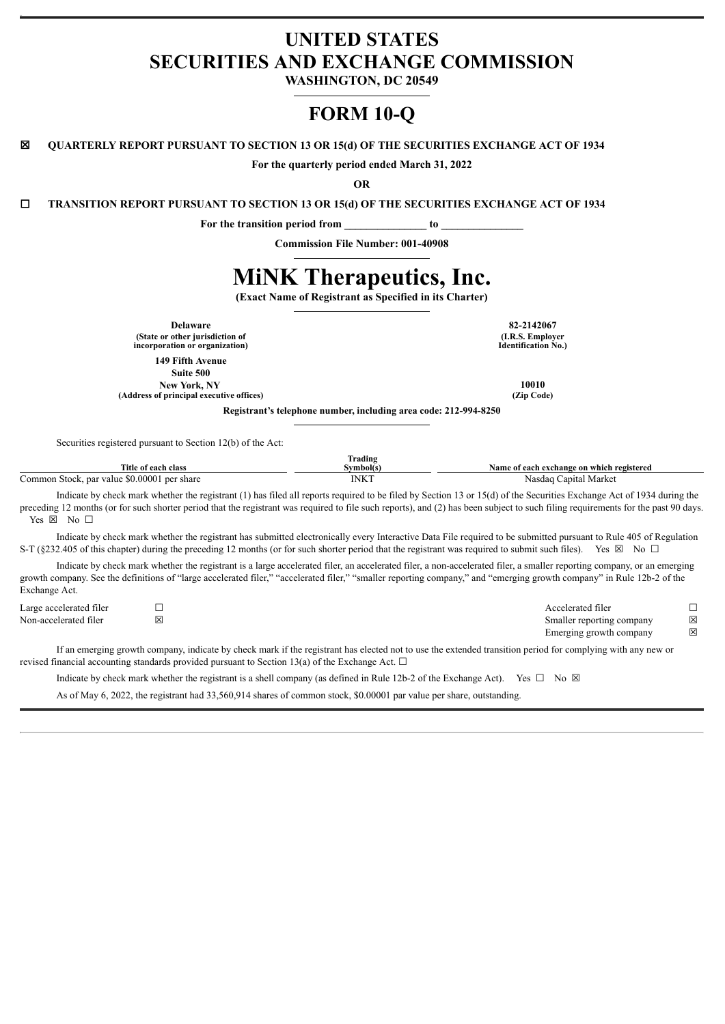# **UNITED STATES SECURITIES AND EXCHANGE COMMISSION**

**WASHINGTON, DC 20549**

## **FORM 10-Q**

## ☒ **QUARTERLY REPORT PURSUANT TO SECTION 13 OR 15(d) OF THE SECURITIES EXCHANGE ACT OF 1934**

**For the quarterly period ended March 31, 2022**

**OR**

☐ **TRANSITION REPORT PURSUANT TO SECTION 13 OR 15(d) OF THE SECURITIES EXCHANGE ACT OF 1934**

**For the transition period from \_\_\_\_\_\_\_\_\_\_\_\_\_\_\_ to \_\_\_\_\_\_\_\_\_\_\_\_\_\_\_**

**Commission File Number: 001-40908**

# **MiNK Therapeutics, Inc.**

**(Exact Name of Registrant as Specified in its Charter)**

| <b>Delaware</b><br>(State or other jurisdiction of<br>incorporation or organization) | 82-2142067<br>(I.R.S. Employer<br><b>Identification No.)</b> |
|--------------------------------------------------------------------------------------|--------------------------------------------------------------|
| 149 Fifth Avenue                                                                     |                                                              |
| Suite 500                                                                            |                                                              |
| New York, NY                                                                         | 10010                                                        |
| (Address of principal executive offices)                                             | (Zip Code)                                                   |

**Registrant's telephone number, including area code: 212-994-8250**

Securities registered pursuant to Section 12(b) of the Act:

| Title of each class                         | Frading<br>™wmbo.                           | Name of each exchange on which registered |
|---------------------------------------------|---------------------------------------------|-------------------------------------------|
| Common Stock, par value \$0.00001 per share | ſNKT<br>the contract of the contract of the | Capital Market<br>Nasdaq                  |

Indicate by check mark whether the registrant (1) has filed all reports required to be filed by Section 13 or 15(d) of the Securities Exchange Act of 1934 during the preceding 12 months (or for such shorter period that the registrant was required to file such reports), and (2) has been subject to such filing requirements for the past 90 days. Yes  $\overline{\boxtimes}$  No  $\Box$ 

Indicate by check mark whether the registrant has submitted electronically every Interactive Data File required to be submitted pursuant to Rule 405 of Regulation S-T (§232.405 of this chapter) during the preceding 12 months (or for such shorter period that the registrant was required to submit such files). Yes  $\boxtimes$  No  $\Box$ 

Indicate by check mark whether the registrant is a large accelerated filer, an accelerated filer, a non-accelerated filer, a smaller reporting company, or an emerging growth company. See the definitions of "large accelerated filer," "accelerated filer," "smaller reporting company," and "emerging growth company" in Rule 12b-2 of the Exchange Act.

| Large accelerated filer | Accelerated filer         |   |
|-------------------------|---------------------------|---|
| Non-accelerated filer   | Smaller reporting company | ⊠ |
|                         | Emerging growth company   | 区 |

If an emerging growth company, indicate by check mark if the registrant has elected not to use the extended transition period for complying with any new or revised financial accounting standards provided pursuant to Section 13(a) of the Exchange Act.  $\Box$ 

Indicate by check mark whether the registrant is a shell company (as defined in Rule 12b-2 of the Exchange Act). Yes  $\Box$  No  $\boxtimes$ 

As of May 6, 2022, the registrant had 33,560,914 shares of common stock, \$0.00001 par value per share, outstanding.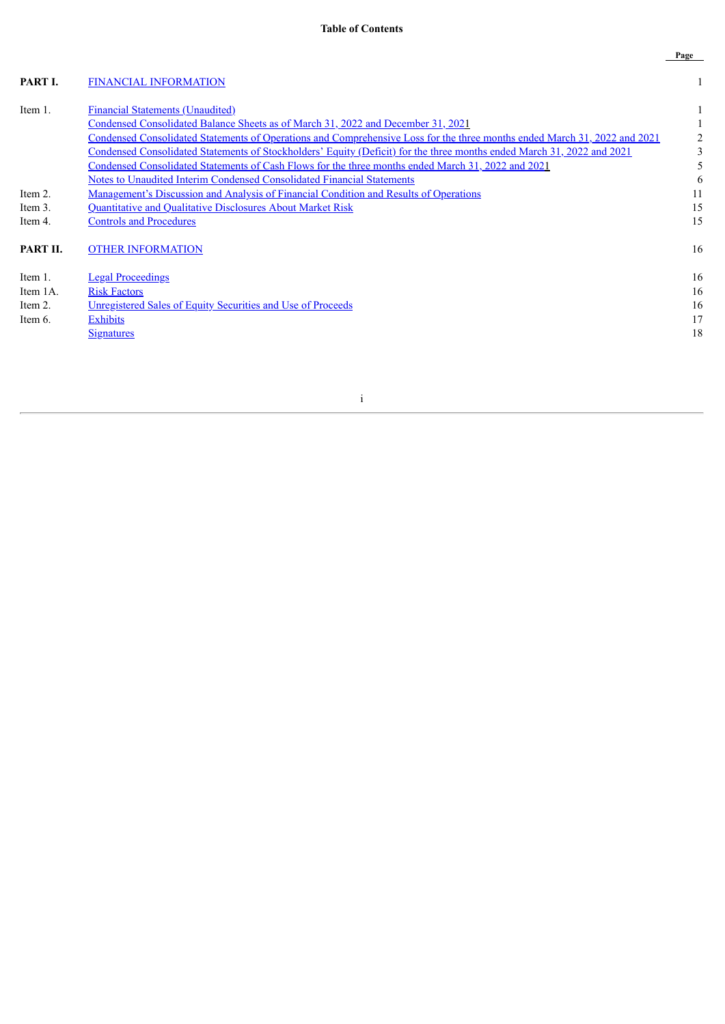|          |                                                                                                                           | Page |
|----------|---------------------------------------------------------------------------------------------------------------------------|------|
| PART I.  | <b>FINANCIAL INFORMATION</b>                                                                                              |      |
| Item 1.  | <b>Financial Statements (Unaudited)</b>                                                                                   |      |
|          | Condensed Consolidated Balance Sheets as of March 31, 2022 and December 31, 2021                                          |      |
|          | Condensed Consolidated Statements of Operations and Comprehensive Loss for the three months ended March 31, 2022 and 2021 | 2    |
|          | Condensed Consolidated Statements of Stockholders' Equity (Deficit) for the three months ended March 31, 2022 and 2021    | 3    |
|          | Condensed Consolidated Statements of Cash Flows for the three months ended March 31, 2022 and 2021                        | 5    |
|          | Notes to Unaudited Interim Condensed Consolidated Financial Statements                                                    | 6    |
| Item 2.  | <u>Management's Discussion and Analysis of Financial Condition and Results of Operations</u>                              | 11   |
| Item 3.  | Quantitative and Qualitative Disclosures About Market Risk                                                                | 15   |
| Item 4.  | <b>Controls and Procedures</b>                                                                                            | 15   |
| PART II. | <b>OTHER INFORMATION</b>                                                                                                  | 16   |
| Item 1.  | <b>Legal Proceedings</b>                                                                                                  | 16   |
| Item 1A. | <b>Risk Factors</b>                                                                                                       | 16   |
| Item 2.  | <b>Unregistered Sales of Equity Securities and Use of Proceeds</b>                                                        | 16   |
| Item 6.  | <b>Exhibits</b>                                                                                                           | 17   |
|          | <b>Signatures</b>                                                                                                         | 18   |
|          |                                                                                                                           |      |

i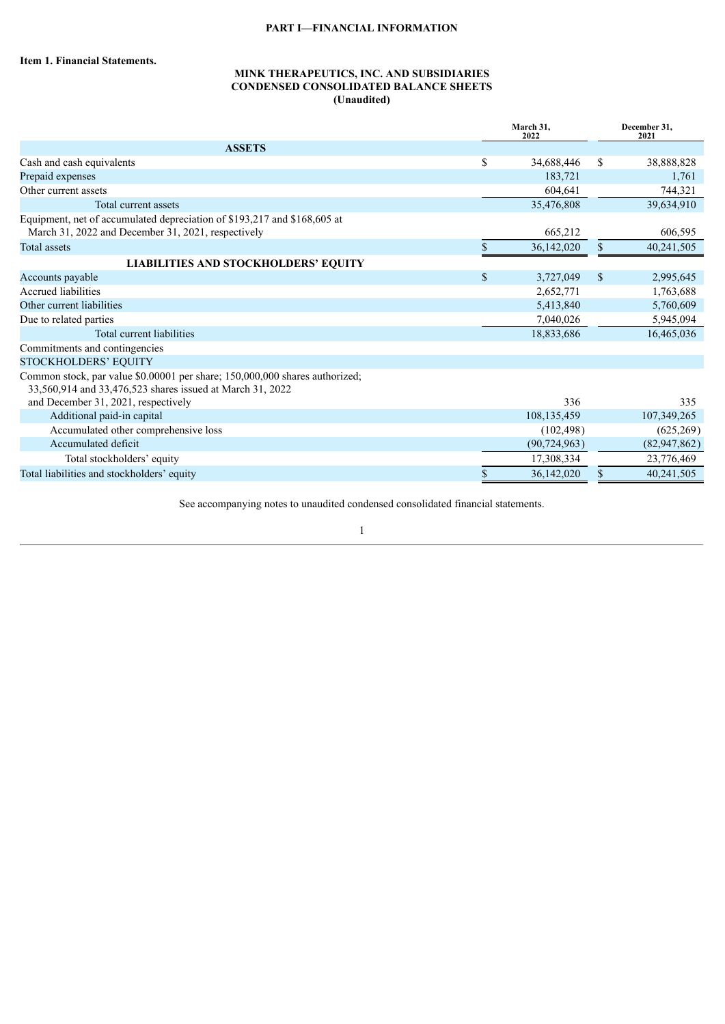## **PART I—FINANCIAL INFORMATION**

<span id="page-2-2"></span><span id="page-2-1"></span><span id="page-2-0"></span>**Item 1. Financial Statements.**

## **MINK THERAPEUTICS, INC. AND SUBSIDIARIES CONDENSED CONSOLIDATED BALANCE SHEETS (Unaudited)**

|                                                                                                                                          |               | March 31,<br>2022 |    | December 31,<br>2021 |
|------------------------------------------------------------------------------------------------------------------------------------------|---------------|-------------------|----|----------------------|
| <b>ASSETS</b>                                                                                                                            |               |                   |    |                      |
| Cash and cash equivalents                                                                                                                | <sup>\$</sup> | 34,688,446        | \$ | 38,888,828           |
| Prepaid expenses                                                                                                                         |               | 183,721           |    | 1,761                |
| Other current assets                                                                                                                     |               | 604,641           |    | 744,321              |
| Total current assets                                                                                                                     |               | 35,476,808        |    | 39,634,910           |
| Equipment, net of accumulated depreciation of \$193,217 and \$168,605 at<br>March 31, 2022 and December 31, 2021, respectively           |               | 665,212           |    | 606,595              |
| <b>Total assets</b>                                                                                                                      | \$.           | 36,142,020        | \$ | 40,241,505           |
| <b>LIABILITIES AND STOCKHOLDERS' EQUITY</b>                                                                                              |               |                   |    |                      |
| Accounts payable                                                                                                                         | $\mathcal{S}$ | 3,727,049         | \$ | 2,995,645            |
| Accrued liabilities                                                                                                                      |               | 2,652,771         |    | 1,763,688            |
| Other current liabilities                                                                                                                |               | 5,413,840         |    | 5,760,609            |
| Due to related parties                                                                                                                   |               | 7,040,026         |    | 5,945,094            |
| Total current liabilities                                                                                                                |               | 18,833,686        |    | 16,465,036           |
| Commitments and contingencies                                                                                                            |               |                   |    |                      |
| STOCKHOLDERS' EQUITY                                                                                                                     |               |                   |    |                      |
| Common stock, par value \$0.00001 per share; 150,000,000 shares authorized;<br>33,560,914 and 33,476,523 shares issued at March 31, 2022 |               |                   |    |                      |
| and December 31, 2021, respectively                                                                                                      |               | 336               |    | 335                  |
| Additional paid-in capital                                                                                                               |               | 108,135,459       |    | 107,349,265          |
| Accumulated other comprehensive loss                                                                                                     |               | (102, 498)        |    | (625, 269)           |
| Accumulated deficit                                                                                                                      |               | (90, 724, 963)    |    | (82, 947, 862)       |
| Total stockholders' equity                                                                                                               |               | 17,308,334        |    | 23,776,469           |
| Total liabilities and stockholders' equity                                                                                               | \$            | 36,142,020        | \$ | 40,241,505           |

See accompanying notes to unaudited condensed consolidated financial statements.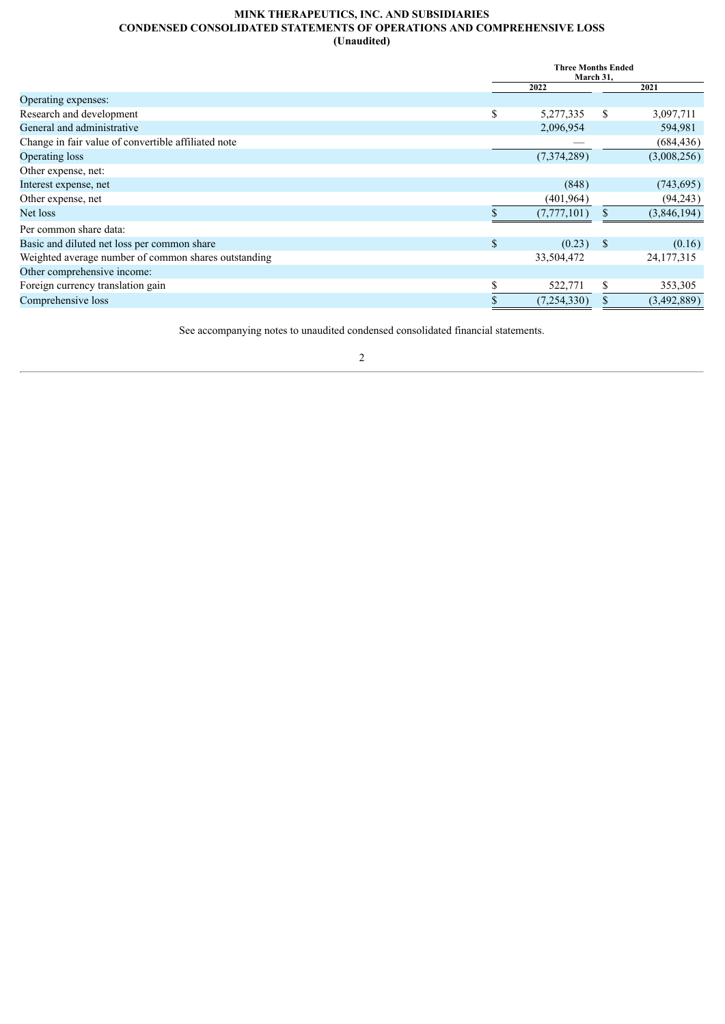## **MINK THERAPEUTICS, INC. AND SUBSIDIARIES CONDENSED CONSOLIDATED STATEMENTS OF OPERATIONS AND COMPREHENSIVE LOSS (Unaudited)**

<span id="page-3-0"></span>

|                                                      | <b>Three Months Ended</b><br>March 31, |             |               |              |
|------------------------------------------------------|----------------------------------------|-------------|---------------|--------------|
|                                                      |                                        | 2022        |               | 2021         |
| Operating expenses:                                  |                                        |             |               |              |
| Research and development                             | \$                                     | 5,277,335   | <sup>\$</sup> | 3,097,711    |
| General and administrative                           |                                        | 2,096,954   |               | 594,981      |
| Change in fair value of convertible affiliated note  |                                        |             |               | (684, 436)   |
| Operating loss                                       |                                        | (7,374,289) |               | (3,008,256)  |
| Other expense, net:                                  |                                        |             |               |              |
| Interest expense, net                                |                                        | (848)       |               | (743, 695)   |
| Other expense, net                                   |                                        | (401, 964)  |               | (94,243)     |
| Net loss                                             |                                        | (7,777,101) |               | (3,846,194)  |
| Per common share data:                               |                                        |             |               |              |
| Basic and diluted net loss per common share          | \$                                     | (0.23)      | - \$          | (0.16)       |
| Weighted average number of common shares outstanding |                                        | 33,504,472  |               | 24, 177, 315 |
| Other comprehensive income:                          |                                        |             |               |              |
| Foreign currency translation gain                    |                                        | 522,771     | \$            | 353,305      |
| Comprehensive loss                                   |                                        | (7,254,330) |               | (3,492,889)  |

See accompanying notes to unaudited condensed consolidated financial statements.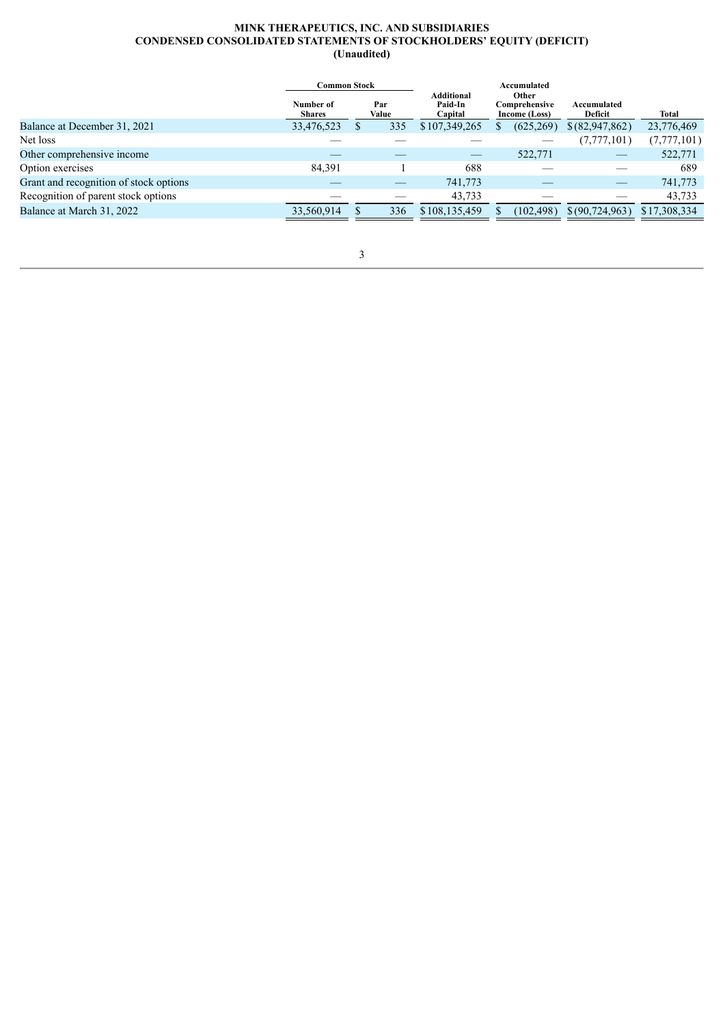## **MINK THERAPEUTICS, INC. AND SUBSIDIARIES CONDENSED CONSOLIDATED STATEMENTS OF STOCKHOLDERS' EQUITY (DEFICIT) (Unaudited)**

<span id="page-4-0"></span>

|                                        | Common Stock               |              |                                         | Accumulated |                                         |                        |              |
|----------------------------------------|----------------------------|--------------|-----------------------------------------|-------------|-----------------------------------------|------------------------|--------------|
|                                        | Number of<br><b>Shares</b> | Par<br>Value | <b>Additional</b><br>Paid-In<br>Capital |             | Other<br>Comprehensive<br>Income (Loss) | Accumulated<br>Deficit | Total        |
| Balance at December 31, 2021           | 33,476,523                 | 335          | \$107,349,265                           |             | (625, 269)                              | \$ (82,947,862)        | 23,776,469   |
| Net loss                               |                            |              |                                         |             |                                         | (7,777,101)            | (7,777,101)  |
| Other comprehensive income             |                            |              |                                         |             | 522,771                                 |                        | 522,771      |
| Option exercises                       | 84,391                     |              | 688                                     |             |                                         |                        | 689          |
| Grant and recognition of stock options |                            |              | 741,773                                 |             |                                         |                        | 741,773      |
| Recognition of parent stock options    |                            |              | 43,733                                  |             |                                         |                        | 43,733       |
| Balance at March 31, 2022              | 33,560,914                 | 336          | \$108,135,459                           |             | (102, 498)                              | \$ (90, 724, 963)      | \$17,308,334 |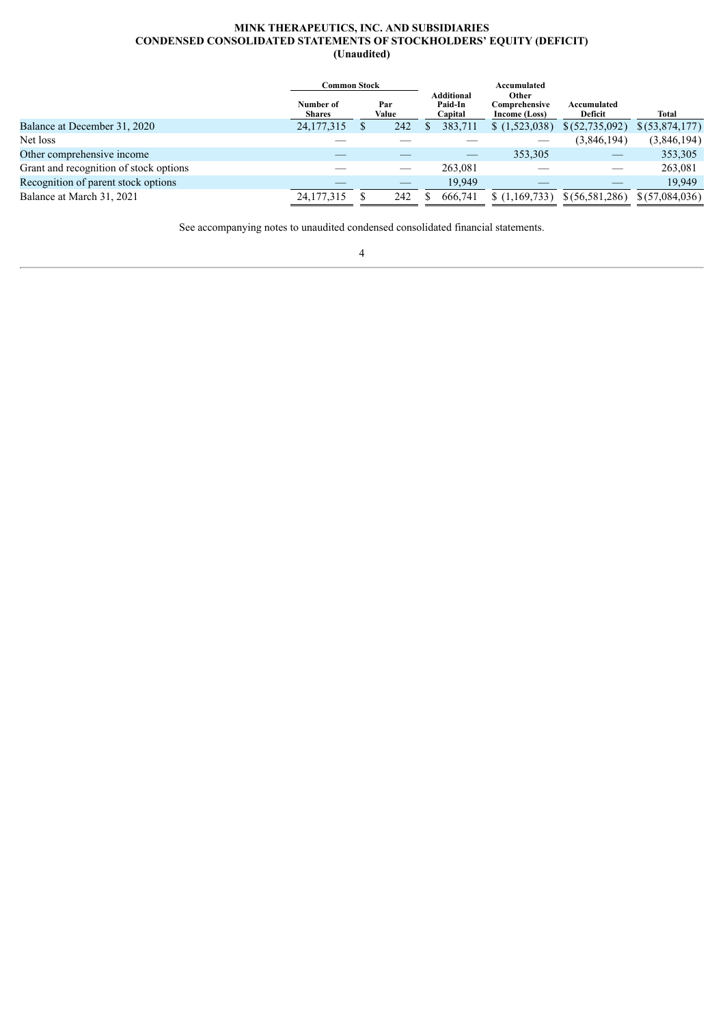## **MINK THERAPEUTICS, INC. AND SUBSIDIARIES CONDENSED CONSOLIDATED STATEMENTS OF STOCKHOLDERS' EQUITY (DEFICIT) (Unaudited)**

|                                        | <b>Common Stock</b>        |              |                                         | Accumulated                             |                        |                 |
|----------------------------------------|----------------------------|--------------|-----------------------------------------|-----------------------------------------|------------------------|-----------------|
|                                        | Number of<br><b>Shares</b> | Par<br>Value | <b>Additional</b><br>Paid-In<br>Capital | Other<br>Comprehensive<br>Income (Loss) | Accumulated<br>Deficit | Total           |
| Balance at December 31, 2020           | 24, 177, 315               | 242          | 383,711                                 | \$(1,523,038)                           | \$ (52, 735, 092)      | \$ (53,874,177) |
| Net loss                               |                            |              |                                         |                                         | (3,846,194)            | (3,846,194)     |
| Other comprehensive income             |                            |              |                                         | 353,305                                 |                        | 353,305         |
| Grant and recognition of stock options |                            |              | 263,081                                 |                                         |                        | 263,081         |
| Recognition of parent stock options    |                            |              | 19,949                                  |                                         |                        | 19,949          |
| Balance at March 31, 2021              | 24, 177, 315               | 242          | 666.741                                 | \$(1,169,733)                           | \$ (56, 581, 286)      | \$ (57,084,036) |

See accompanying notes to unaudited condensed consolidated financial statements.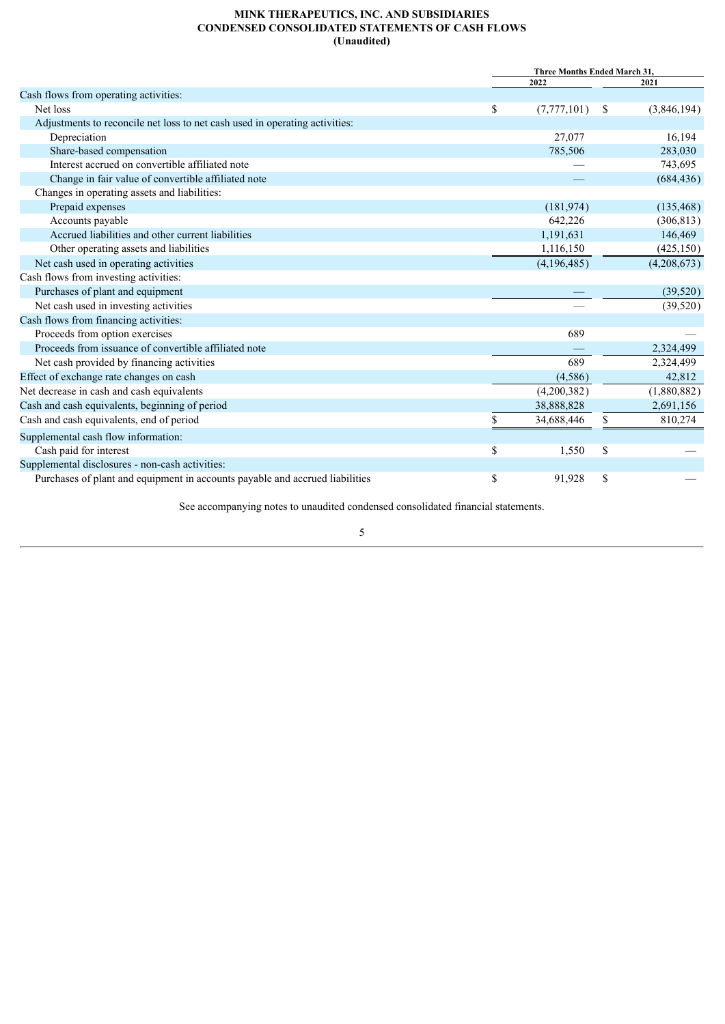## **MINK THERAPEUTICS, INC. AND SUBSIDIARIES CONDENSED CONSOLIDATED STATEMENTS OF CASH FLOWS (Unaudited)**

<span id="page-6-0"></span>

|                                                                              | Three Months Ended March 31, |     |             |  |
|------------------------------------------------------------------------------|------------------------------|-----|-------------|--|
|                                                                              | 2022                         |     | 2021        |  |
| Cash flows from operating activities:                                        |                              |     |             |  |
| Net loss                                                                     | \$<br>(7,777,101)            | -\$ | (3,846,194) |  |
| Adjustments to reconcile net loss to net cash used in operating activities:  |                              |     |             |  |
| Depreciation                                                                 | 27,077                       |     | 16,194      |  |
| Share-based compensation                                                     | 785,506                      |     | 283,030     |  |
| Interest accrued on convertible affiliated note                              |                              |     | 743,695     |  |
| Change in fair value of convertible affiliated note                          |                              |     | (684, 436)  |  |
| Changes in operating assets and liabilities:                                 |                              |     |             |  |
| Prepaid expenses                                                             | (181, 974)                   |     | (135, 468)  |  |
| Accounts payable                                                             | 642,226                      |     | (306, 813)  |  |
| Accrued liabilities and other current liabilities                            | 1,191,631                    |     | 146,469     |  |
| Other operating assets and liabilities                                       | 1,116,150                    |     | (425, 150)  |  |
| Net cash used in operating activities                                        | (4,196,485)                  |     | (4,208,673) |  |
| Cash flows from investing activities:                                        |                              |     |             |  |
| Purchases of plant and equipment                                             |                              |     | (39, 520)   |  |
| Net cash used in investing activities                                        |                              |     | (39, 520)   |  |
| Cash flows from financing activities:                                        |                              |     |             |  |
| Proceeds from option exercises                                               | 689                          |     |             |  |
| Proceeds from issuance of convertible affiliated note                        |                              |     | 2,324,499   |  |
| Net cash provided by financing activities                                    | 689                          |     | 2,324,499   |  |
| Effect of exchange rate changes on cash                                      | (4,586)                      |     | 42,812      |  |
| Net decrease in cash and cash equivalents                                    | (4,200,382)                  |     | (1,880,882) |  |
| Cash and cash equivalents, beginning of period                               | 38,888,828                   |     | 2,691,156   |  |
| Cash and cash equivalents, end of period                                     | \$<br>34,688,446             | \$  | 810,274     |  |
| Supplemental cash flow information:                                          |                              |     |             |  |
| Cash paid for interest                                                       | \$<br>1,550                  | \$  |             |  |
| Supplemental disclosures - non-cash activities:                              |                              |     |             |  |
| Purchases of plant and equipment in accounts payable and accrued liabilities | \$<br>91,928                 | \$  |             |  |

See accompanying notes to unaudited condensed consolidated financial statements.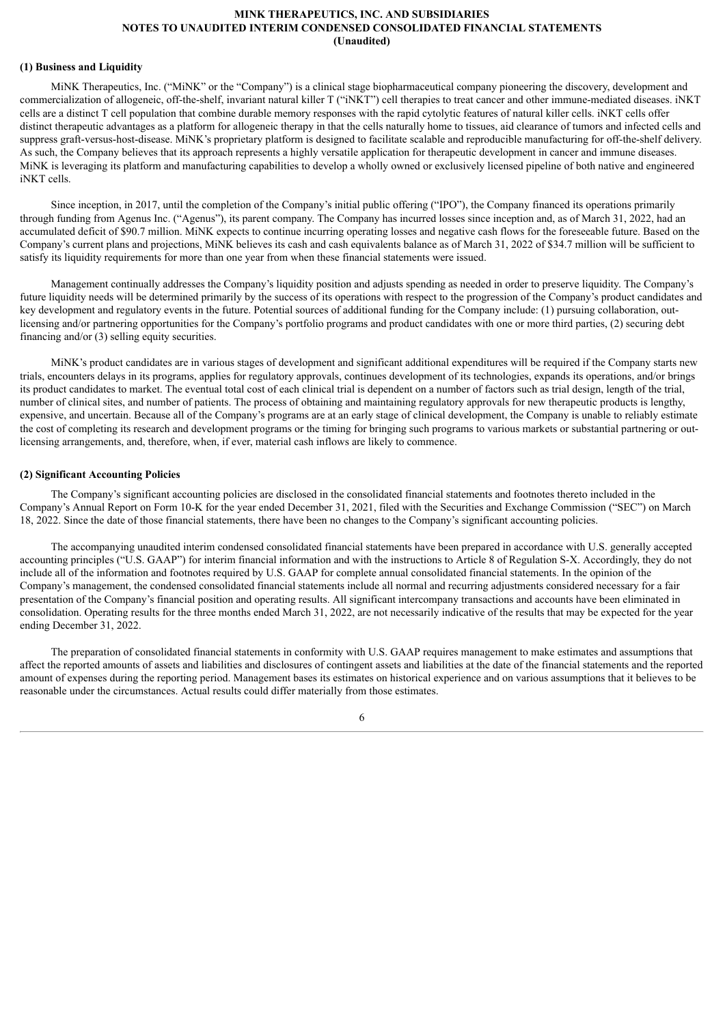## **MINK THERAPEUTICS, INC. AND SUBSIDIARIES NOTES TO UNAUDITED INTERIM CONDENSED CONSOLIDATED FINANCIAL STATEMENTS (Unaudited)**

## <span id="page-7-0"></span>**(1) Business and Liquidity**

MiNK Therapeutics, Inc. ("MiNK" or the "Company") is a clinical stage biopharmaceutical company pioneering the discovery, development and commercialization of allogeneic, off-the-shelf, invariant natural killer T ("iNKT") cell therapies to treat cancer and other immune-mediated diseases. iNKT cells are a distinct T cell population that combine durable memory responses with the rapid cytolytic features of natural killer cells. iNKT cells offer distinct therapeutic advantages as a platform for allogeneic therapy in that the cells naturally home to tissues, aid clearance of tumors and infected cells and suppress graft-versus-host-disease. MiNK's proprietary platform is designed to facilitate scalable and reproducible manufacturing for off-the-shelf delivery. As such, the Company believes that its approach represents a highly versatile application for therapeutic development in cancer and immune diseases. MiNK is leveraging its platform and manufacturing capabilities to develop a wholly owned or exclusively licensed pipeline of both native and engineered iNKT cells.

Since inception, in 2017, until the completion of the Company's initial public offering ("IPO"), the Company financed its operations primarily through funding from Agenus Inc. ("Agenus"), its parent company. The Company has incurred losses since inception and, as of March 31, 2022, had an accumulated deficit of \$90.7 million. MiNK expects to continue incurring operating losses and negative cash flows for the foreseeable future. Based on the Company's current plans and projections, MiNK believes its cash and cash equivalents balance as of March 31, 2022 of \$34.7 million will be sufficient to satisfy its liquidity requirements for more than one year from when these financial statements were issued.

Management continually addresses the Company's liquidity position and adjusts spending as needed in order to preserve liquidity. The Company's future liquidity needs will be determined primarily by the success of its operations with respect to the progression of the Company's product candidates and key development and regulatory events in the future. Potential sources of additional funding for the Company include: (1) pursuing collaboration, outlicensing and/or partnering opportunities for the Company's portfolio programs and product candidates with one or more third parties, (2) securing debt financing and/or (3) selling equity securities.

MiNK's product candidates are in various stages of development and significant additional expenditures will be required if the Company starts new trials, encounters delays in its programs, applies for regulatory approvals, continues development of its technologies, expands its operations, and/or brings its product candidates to market. The eventual total cost of each clinical trial is dependent on a number of factors such as trial design, length of the trial, number of clinical sites, and number of patients. The process of obtaining and maintaining regulatory approvals for new therapeutic products is lengthy, expensive, and uncertain. Because all of the Company's programs are at an early stage of clinical development, the Company is unable to reliably estimate the cost of completing its research and development programs or the timing for bringing such programs to various markets or substantial partnering or outlicensing arrangements, and, therefore, when, if ever, material cash inflows are likely to commence.

#### **(2) Significant Accounting Policies**

The Company's significant accounting policies are disclosed in the consolidated financial statements and footnotes thereto included in the Company's Annual Report on Form 10-K for the year ended December 31, 2021, filed with the Securities and Exchange Commission ("SEC") on March 18, 2022. Since the date of those financial statements, there have been no changes to the Company's significant accounting policies.

The accompanying unaudited interim condensed consolidated financial statements have been prepared in accordance with U.S. generally accepted accounting principles ("U.S. GAAP") for interim financial information and with the instructions to Article 8 of Regulation S-X. Accordingly, they do not include all of the information and footnotes required by U.S. GAAP for complete annual consolidated financial statements. In the opinion of the Company's management, the condensed consolidated financial statements include all normal and recurring adjustments considered necessary for a fair presentation of the Company's financial position and operating results. All significant intercompany transactions and accounts have been eliminated in consolidation. Operating results for the three months ended March 31, 2022, are not necessarily indicative of the results that may be expected for the year ending December 31, 2022.

The preparation of consolidated financial statements in conformity with U.S. GAAP requires management to make estimates and assumptions that affect the reported amounts of assets and liabilities and disclosures of contingent assets and liabilities at the date of the financial statements and the reported amount of expenses during the reporting period. Management bases its estimates on historical experience and on various assumptions that it believes to be reasonable under the circumstances. Actual results could differ materially from those estimates.

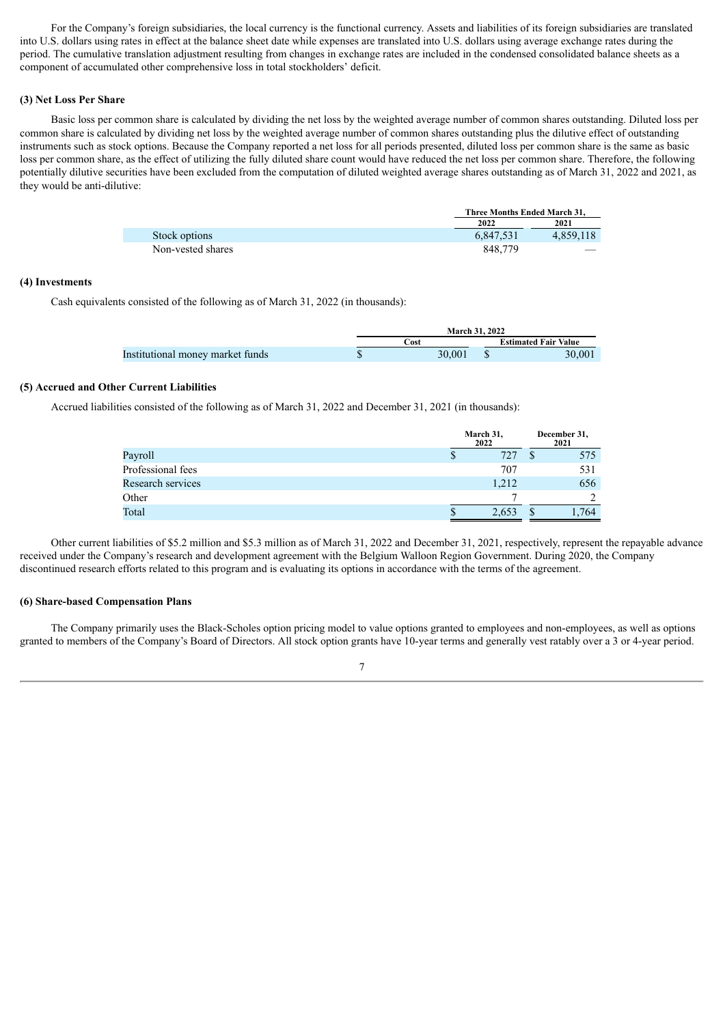For the Company's foreign subsidiaries, the local currency is the functional currency. Assets and liabilities of its foreign subsidiaries are translated into U.S. dollars using rates in effect at the balance sheet date while expenses are translated into U.S. dollars using average exchange rates during the period. The cumulative translation adjustment resulting from changes in exchange rates are included in the condensed consolidated balance sheets as a component of accumulated other comprehensive loss in total stockholders' deficit.

## **(3) Net Loss Per Share**

Basic loss per common share is calculated by dividing the net loss by the weighted average number of common shares outstanding. Diluted loss per common share is calculated by dividing net loss by the weighted average number of common shares outstanding plus the dilutive effect of outstanding instruments such as stock options. Because the Company reported a net loss for all periods presented, diluted loss per common share is the same as basic loss per common share, as the effect of utilizing the fully diluted share count would have reduced the net loss per common share. Therefore, the following potentially dilutive securities have been excluded from the computation of diluted weighted average shares outstanding as of March 31, 2022 and 2021, as they would be anti-dilutive:

|                   | Three Months Ended March 31. |           |
|-------------------|------------------------------|-----------|
|                   | 2022                         | 2021      |
| Stock options     | 6.847.531                    | 4,859,118 |
| Non-vested shares | 848.779                      |           |

## **(4) Investments**

Cash equivalents consisted of the following as of March 31, 2022 (in thousands):

|                                  | <b>March 31, 2022</b> |  |                             |  |  |  |
|----------------------------------|-----------------------|--|-----------------------------|--|--|--|
|                                  | .`ost                 |  | <b>Estimated Fair Value</b> |  |  |  |
| Institutional money market funds | 30.001                |  | 30.001                      |  |  |  |

## **(5) Accrued and Other Current Liabilities**

Accrued liabilities consisted of the following as of March 31, 2022 and December 31, 2021 (in thousands):

|                   |   | March 31,<br>2022 |   | December 31,<br>2021 |
|-------------------|---|-------------------|---|----------------------|
| Payroll           | Ф | 727               | Ф | 575                  |
| Professional fees |   | 707               |   | 531                  |
| Research services |   | 1,212             |   | 656                  |
| Other             |   |                   |   |                      |
| Total             |   | 2.653             |   | 1,764                |

Other current liabilities of \$5.2 million and \$5.3 million as of March 31, 2022 and December 31, 2021, respectively, represent the repayable advance received under the Company's research and development agreement with the Belgium Walloon Region Government. During 2020, the Company discontinued research efforts related to this program and is evaluating its options in accordance with the terms of the agreement.

## **(6) Share-based Compensation Plans**

The Company primarily uses the Black-Scholes option pricing model to value options granted to employees and non-employees, as well as options granted to members of the Company's Board of Directors. All stock option grants have 10-year terms and generally vest ratably over a 3 or 4-year period.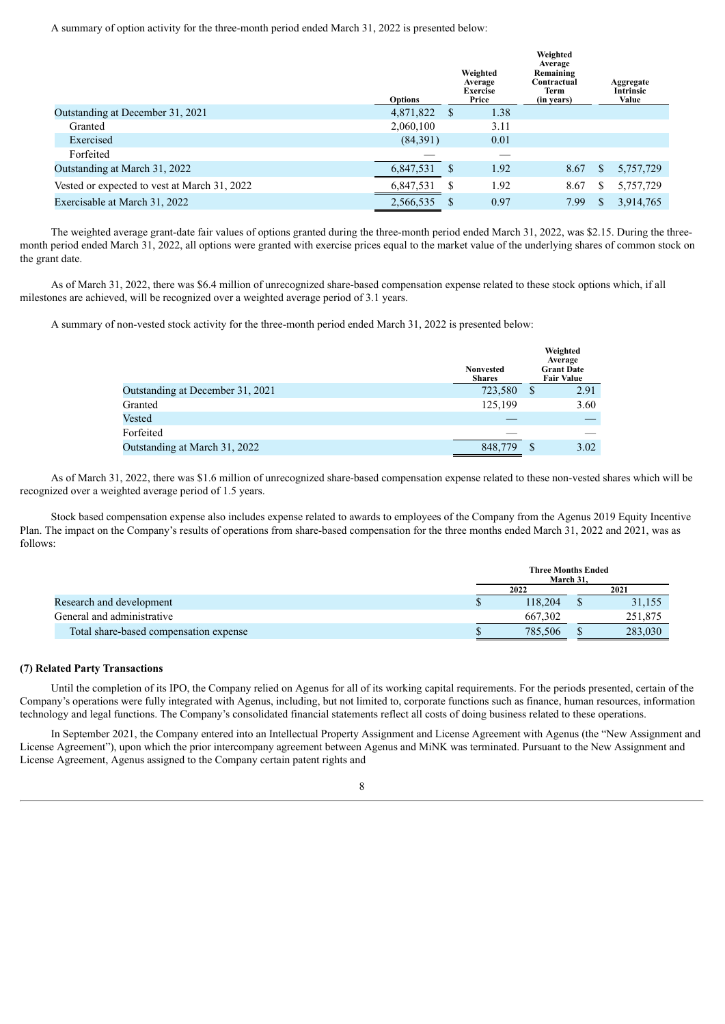A summary of option activity for the three-month period ended March 31, 2022 is presented below:

|                                              | <b>Options</b> |   | Weighted<br>Average<br><b>Exercise</b><br>Price | weighteu<br>Average<br>Remaining<br>Contractual<br><b>Term</b><br>(in years) |   | Aggregate<br><b>Intrinsic</b><br>Value |
|----------------------------------------------|----------------|---|-------------------------------------------------|------------------------------------------------------------------------------|---|----------------------------------------|
| Outstanding at December 31, 2021             | 4,871,822      | S | 1.38                                            |                                                                              |   |                                        |
| Granted                                      | 2,060,100      |   | 3.11                                            |                                                                              |   |                                        |
| Exercised                                    | (84,391)       |   | 0.01                                            |                                                                              |   |                                        |
| Forfeited                                    |                |   |                                                 |                                                                              |   |                                        |
| Outstanding at March 31, 2022                | 6,847,531      | S | 1.92                                            | 8.67                                                                         | S | 5,757,729                              |
| Vested or expected to vest at March 31, 2022 | 6,847,531      | S | 1.92                                            | 8.67                                                                         | S | 5,757,729                              |
| Exercisable at March 31, 2022                | 2,566,535      | S | 0.97                                            | 7.99                                                                         | S | 3,914,765                              |

**Weighted**

The weighted average grant-date fair values of options granted during the three-month period ended March 31, 2022, was \$2.15. During the threemonth period ended March 31, 2022, all options were granted with exercise prices equal to the market value of the underlying shares of common stock on the grant date.

As of March 31, 2022, there was \$6.4 million of unrecognized share-based compensation expense related to these stock options which, if all milestones are achieved, will be recognized over a weighted average period of 3.1 years.

A summary of non-vested stock activity for the three-month period ended March 31, 2022 is presented below:

|                                  | <b>Nonvested</b><br><b>Shares</b> |               | Weighted<br>Average<br><b>Grant Date</b><br><b>Fair Value</b> |  |  |
|----------------------------------|-----------------------------------|---------------|---------------------------------------------------------------|--|--|
| Outstanding at December 31, 2021 | 723,580                           | <sup>\$</sup> | 2.91                                                          |  |  |
| Granted                          | 125,199                           |               | 3.60                                                          |  |  |
| Vested                           |                                   |               |                                                               |  |  |
| Forfeited                        |                                   |               |                                                               |  |  |
| Outstanding at March 31, 2022    | 848,779                           |               | 3.02                                                          |  |  |

As of March 31, 2022, there was \$1.6 million of unrecognized share-based compensation expense related to these non-vested shares which will be recognized over a weighted average period of 1.5 years.

Stock based compensation expense also includes expense related to awards to employees of the Company from the Agenus 2019 Equity Incentive Plan. The impact on the Company's results of operations from share-based compensation for the three months ended March 31, 2022 and 2021, was as follows:

|                                        | <b>Three Months Ended</b><br>March 31. |  |         |  |
|----------------------------------------|----------------------------------------|--|---------|--|
|                                        | 2022                                   |  | 2021    |  |
| Research and development               | 118.204                                |  | 31.155  |  |
| General and administrative             | 667.302                                |  | 251.875 |  |
| Total share-based compensation expense | 785,506                                |  | 283,030 |  |

#### **(7) Related Party Transactions**

Until the completion of its IPO, the Company relied on Agenus for all of its working capital requirements. For the periods presented, certain of the Company's operations were fully integrated with Agenus, including, but not limited to, corporate functions such as finance, human resources, information technology and legal functions. The Company's consolidated financial statements reflect all costs of doing business related to these operations.

In September 2021, the Company entered into an Intellectual Property Assignment and License Agreement with Agenus (the "New Assignment and License Agreement"), upon which the prior intercompany agreement between Agenus and MiNK was terminated. Pursuant to the New Assignment and License Agreement, Agenus assigned to the Company certain patent rights and

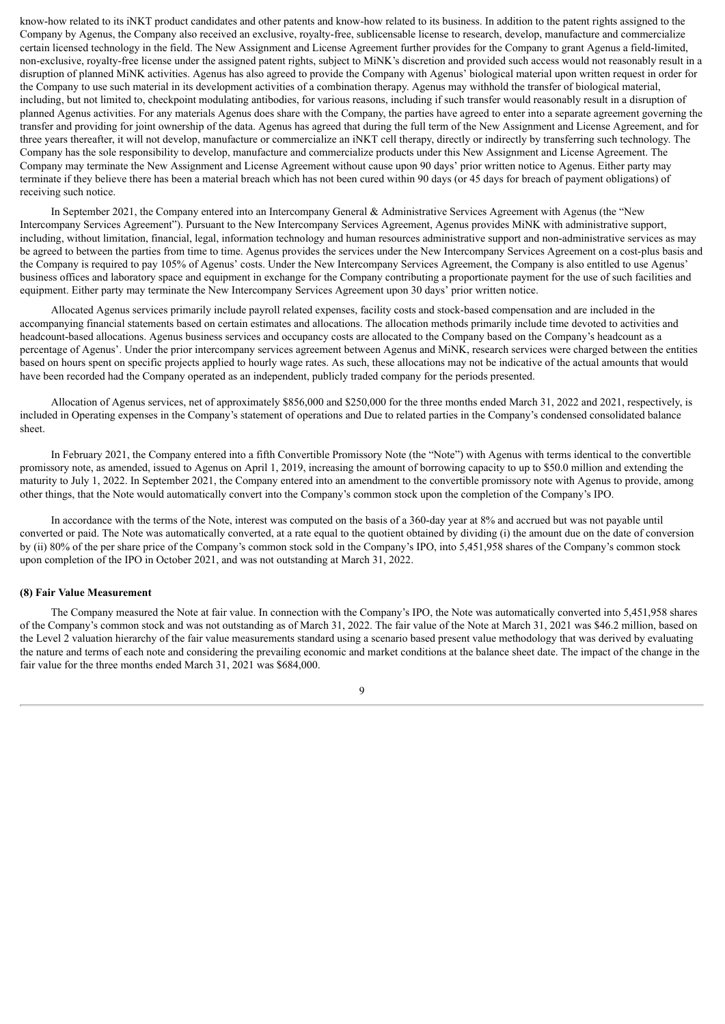know-how related to its iNKT product candidates and other patents and know-how related to its business. In addition to the patent rights assigned to the Company by Agenus, the Company also received an exclusive, royalty-free, sublicensable license to research, develop, manufacture and commercialize certain licensed technology in the field. The New Assignment and License Agreement further provides for the Company to grant Agenus a field-limited, non-exclusive, royalty-free license under the assigned patent rights, subject to MiNK's discretion and provided such access would not reasonably result in a disruption of planned MiNK activities. Agenus has also agreed to provide the Company with Agenus' biological material upon written request in order for the Company to use such material in its development activities of a combination therapy. Agenus may withhold the transfer of biological material, including, but not limited to, checkpoint modulating antibodies, for various reasons, including if such transfer would reasonably result in a disruption of planned Agenus activities. For any materials Agenus does share with the Company, the parties have agreed to enter into a separate agreement governing the transfer and providing for joint ownership of the data. Agenus has agreed that during the full term of the New Assignment and License Agreement, and for three years thereafter, it will not develop, manufacture or commercialize an iNKT cell therapy, directly or indirectly by transferring such technology. The Company has the sole responsibility to develop, manufacture and commercialize products under this New Assignment and License Agreement. The Company may terminate the New Assignment and License Agreement without cause upon 90 days' prior written notice to Agenus. Either party may terminate if they believe there has been a material breach which has not been cured within 90 days (or 45 days for breach of payment obligations) of receiving such notice.

In September 2021, the Company entered into an Intercompany General & Administrative Services Agreement with Agenus (the "New Intercompany Services Agreement"). Pursuant to the New Intercompany Services Agreement, Agenus provides MiNK with administrative support, including, without limitation, financial, legal, information technology and human resources administrative support and non-administrative services as may be agreed to between the parties from time to time. Agenus provides the services under the New Intercompany Services Agreement on a cost-plus basis and the Company is required to pay 105% of Agenus' costs. Under the New Intercompany Services Agreement, the Company is also entitled to use Agenus' business offices and laboratory space and equipment in exchange for the Company contributing a proportionate payment for the use of such facilities and equipment. Either party may terminate the New Intercompany Services Agreement upon 30 days' prior written notice.

Allocated Agenus services primarily include payroll related expenses, facility costs and stock-based compensation and are included in the accompanying financial statements based on certain estimates and allocations. The allocation methods primarily include time devoted to activities and headcount-based allocations. Agenus business services and occupancy costs are allocated to the Company based on the Company's headcount as a percentage of Agenus'. Under the prior intercompany services agreement between Agenus and MiNK, research services were charged between the entities based on hours spent on specific projects applied to hourly wage rates. As such, these allocations may not be indicative of the actual amounts that would have been recorded had the Company operated as an independent, publicly traded company for the periods presented.

Allocation of Agenus services, net of approximately \$856,000 and \$250,000 for the three months ended March 31, 2022 and 2021, respectively, is included in Operating expenses in the Company's statement of operations and Due to related parties in the Company's condensed consolidated balance sheet.

In February 2021, the Company entered into a fifth Convertible Promissory Note (the "Note") with Agenus with terms identical to the convertible promissory note, as amended, issued to Agenus on April 1, 2019, increasing the amount of borrowing capacity to up to \$50.0 million and extending the maturity to July 1, 2022. In September 2021, the Company entered into an amendment to the convertible promissory note with Agenus to provide, among other things, that the Note would automatically convert into the Company's common stock upon the completion of the Company's IPO.

In accordance with the terms of the Note, interest was computed on the basis of a 360-day year at 8% and accrued but was not payable until converted or paid. The Note was automatically converted, at a rate equal to the quotient obtained by dividing (i) the amount due on the date of conversion by (ii) 80% of the per share price of the Company's common stock sold in the Company's IPO, into 5,451,958 shares of the Company's common stock upon completion of the IPO in October 2021, and was not outstanding at March 31, 2022.

## **(8) Fair Value Measurement**

The Company measured the Note at fair value. In connection with the Company's IPO, the Note was automatically converted into 5,451,958 shares of the Company's common stock and was not outstanding as of March 31, 2022. The fair value of the Note at March 31, 2021 was \$46.2 million, based on the Level 2 valuation hierarchy of the fair value measurements standard using a scenario based present value methodology that was derived by evaluating the nature and terms of each note and considering the prevailing economic and market conditions at the balance sheet date. The impact of the change in the fair value for the three months ended March 31, 2021 was \$684,000.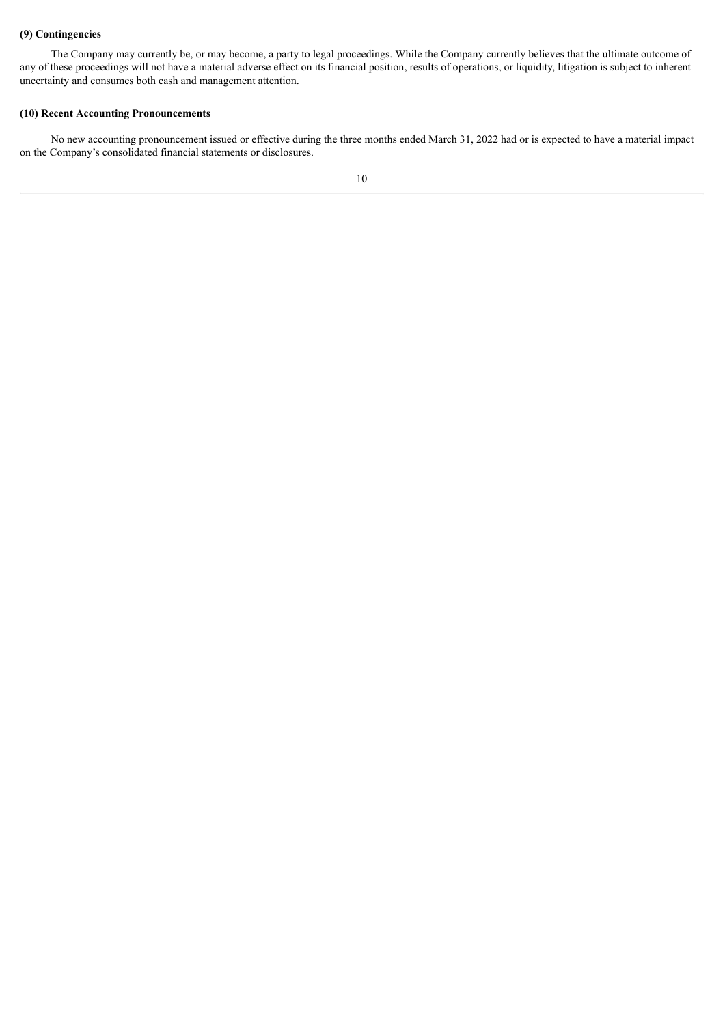## **(9) Contingencies**

The Company may currently be, or may become, a party to legal proceedings. While the Company currently believes that the ultimate outcome of any of these proceedings will not have a material adverse effect on its financial position, results of operations, or liquidity, litigation is subject to inherent uncertainty and consumes both cash and management attention.

## **(10) Recent Accounting Pronouncements**

No new accounting pronouncement issued or effective during the three months ended March 31, 2022 had or is expected to have a material impact on the Company's consolidated financial statements or disclosures.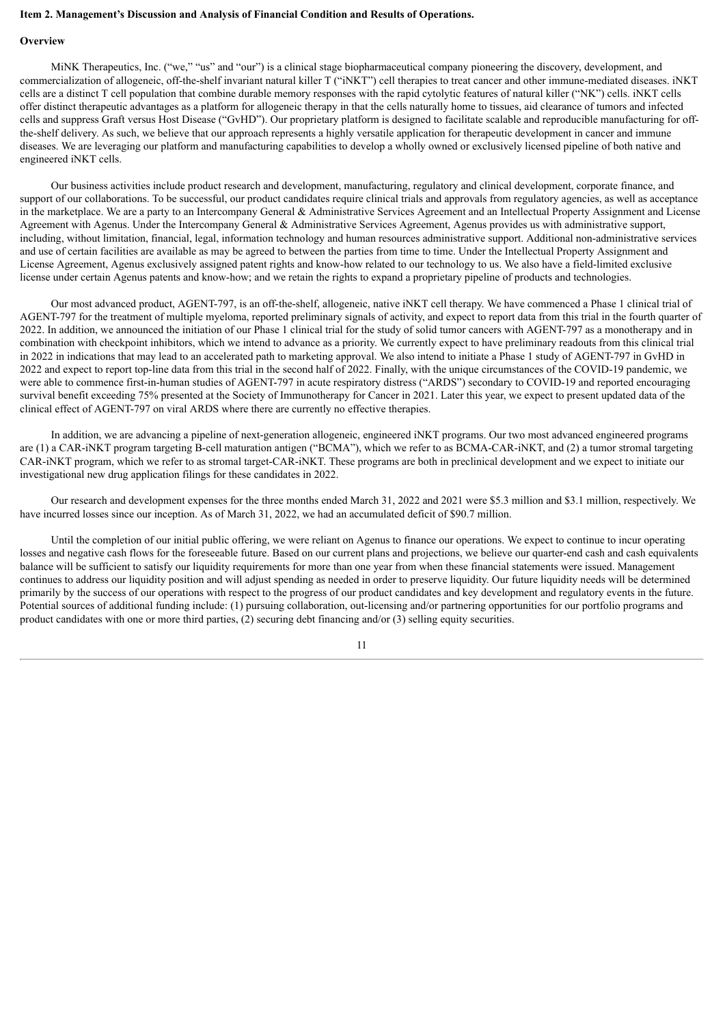## <span id="page-12-0"></span>**Item 2. Management's Discussion and Analysis of Financial Condition and Results of Operations.**

## **Overview**

MiNK Therapeutics, Inc. ("we," "us" and "our") is a clinical stage biopharmaceutical company pioneering the discovery, development, and commercialization of allogeneic, off-the-shelf invariant natural killer T ("iNKT") cell therapies to treat cancer and other immune-mediated diseases. iNKT cells are a distinct T cell population that combine durable memory responses with the rapid cytolytic features of natural killer ("NK") cells. iNKT cells offer distinct therapeutic advantages as a platform for allogeneic therapy in that the cells naturally home to tissues, aid clearance of tumors and infected cells and suppress Graft versus Host Disease ("GvHD"). Our proprietary platform is designed to facilitate scalable and reproducible manufacturing for offthe-shelf delivery. As such, we believe that our approach represents a highly versatile application for therapeutic development in cancer and immune diseases. We are leveraging our platform and manufacturing capabilities to develop a wholly owned or exclusively licensed pipeline of both native and engineered iNKT cells.

Our business activities include product research and development, manufacturing, regulatory and clinical development, corporate finance, and support of our collaborations. To be successful, our product candidates require clinical trials and approvals from regulatory agencies, as well as acceptance in the marketplace. We are a party to an Intercompany General & Administrative Services Agreement and an Intellectual Property Assignment and License Agreement with Agenus. Under the Intercompany General & Administrative Services Agreement, Agenus provides us with administrative support, including, without limitation, financial, legal, information technology and human resources administrative support. Additional non-administrative services and use of certain facilities are available as may be agreed to between the parties from time to time. Under the Intellectual Property Assignment and License Agreement, Agenus exclusively assigned patent rights and know-how related to our technology to us. We also have a field-limited exclusive license under certain Agenus patents and know-how; and we retain the rights to expand a proprietary pipeline of products and technologies.

Our most advanced product, AGENT-797, is an off-the-shelf, allogeneic, native iNKT cell therapy. We have commenced a Phase 1 clinical trial of AGENT-797 for the treatment of multiple myeloma, reported preliminary signals of activity, and expect to report data from this trial in the fourth quarter of 2022. In addition, we announced the initiation of our Phase 1 clinical trial for the study of solid tumor cancers with AGENT-797 as a monotherapy and in combination with checkpoint inhibitors, which we intend to advance as a priority. We currently expect to have preliminary readouts from this clinical trial in 2022 in indications that may lead to an accelerated path to marketing approval. We also intend to initiate a Phase 1 study of AGENT-797 in GvHD in 2022 and expect to report top-line data from this trial in the second half of 2022. Finally, with the unique circumstances of the COVID-19 pandemic, we were able to commence first-in-human studies of AGENT-797 in acute respiratory distress ("ARDS") secondary to COVID-19 and reported encouraging survival benefit exceeding 75% presented at the Society of Immunotherapy for Cancer in 2021. Later this year, we expect to present updated data of the clinical effect of AGENT-797 on viral ARDS where there are currently no effective therapies.

In addition, we are advancing a pipeline of next-generation allogeneic, engineered iNKT programs. Our two most advanced engineered programs are (1) a CAR-iNKT program targeting B-cell maturation antigen ("BCMA"), which we refer to as BCMA-CAR-iNKT, and (2) a tumor stromal targeting CAR-iNKT program, which we refer to as stromal target-CAR-iNKT. These programs are both in preclinical development and we expect to initiate our investigational new drug application filings for these candidates in 2022.

Our research and development expenses for the three months ended March 31, 2022 and 2021 were \$5.3 million and \$3.1 million, respectively. We have incurred losses since our inception. As of March 31, 2022, we had an accumulated deficit of \$90.7 million.

Until the completion of our initial public offering, we were reliant on Agenus to finance our operations. We expect to continue to incur operating losses and negative cash flows for the foreseeable future. Based on our current plans and projections, we believe our quarter-end cash and cash equivalents balance will be sufficient to satisfy our liquidity requirements for more than one year from when these financial statements were issued. Management continues to address our liquidity position and will adjust spending as needed in order to preserve liquidity. Our future liquidity needs will be determined primarily by the success of our operations with respect to the progress of our product candidates and key development and regulatory events in the future. Potential sources of additional funding include: (1) pursuing collaboration, out-licensing and/or partnering opportunities for our portfolio programs and product candidates with one or more third parties, (2) securing debt financing and/or (3) selling equity securities.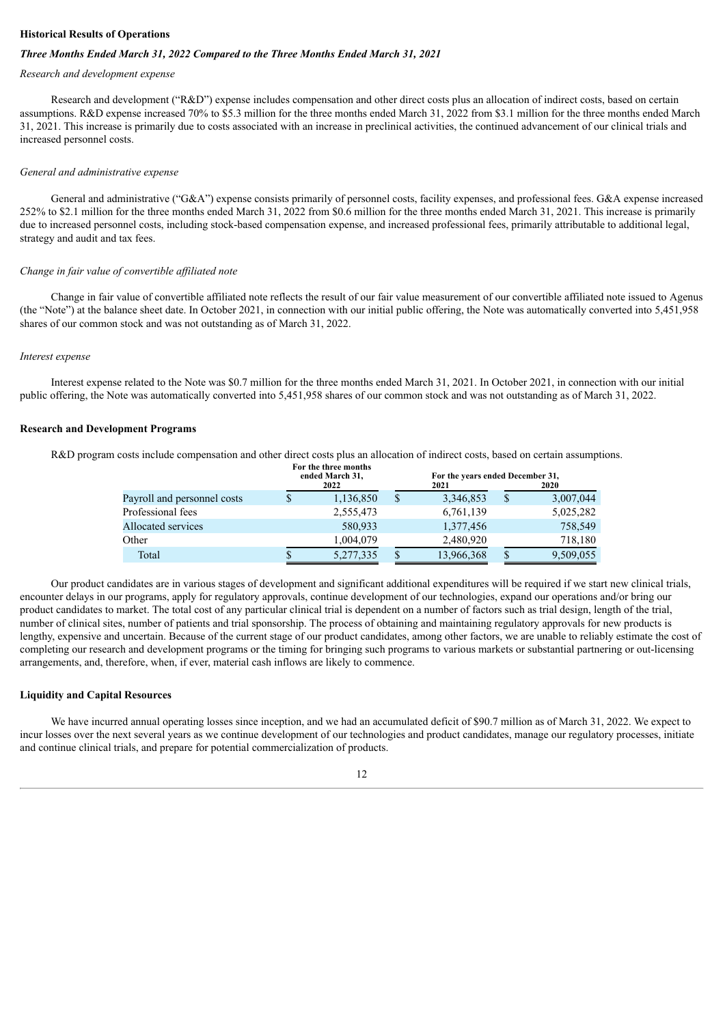#### **Historical Results of Operations**

#### *Three Months Ended March 31, 2022 Compared to the Three Months Ended March 31, 2021*

#### *Research and development expense*

Research and development ("R&D") expense includes compensation and other direct costs plus an allocation of indirect costs, based on certain assumptions. R&D expense increased 70% to \$5.3 million for the three months ended March 31, 2022 from \$3.1 million for the three months ended March 31, 2021. This increase is primarily due to costs associated with an increase in preclinical activities, the continued advancement of our clinical trials and increased personnel costs.

#### *General and administrative expense*

General and administrative ("G&A") expense consists primarily of personnel costs, facility expenses, and professional fees. G&A expense increased 252% to \$2.1 million for the three months ended March 31, 2022 from \$0.6 million for the three months ended March 31, 2021. This increase is primarily due to increased personnel costs, including stock-based compensation expense, and increased professional fees, primarily attributable to additional legal, strategy and audit and tax fees.

#### *Change in fair value of convertible af iliated note*

Change in fair value of convertible affiliated note reflects the result of our fair value measurement of our convertible affiliated note issued to Agenus (the "Note") at the balance sheet date. In October 2021, in connection with our initial public offering, the Note was automatically converted into 5,451,958 shares of our common stock and was not outstanding as of March 31, 2022.

#### *Interest expense*

Interest expense related to the Note was \$0.7 million for the three months ended March 31, 2021. In October 2021, in connection with our initial public offering, the Note was automatically converted into 5,451,958 shares of our common stock and was not outstanding as of March 31, 2022.

#### **Research and Development Programs**

R&D program costs include compensation and other direct costs plus an allocation of indirect costs, based on certain assumptions.

**For the three months**

| ended March 31, |           |                    |            |      |                                  |  |
|-----------------|-----------|--------------------|------------|------|----------------------------------|--|
| 2022<br>2021    |           |                    |            | 2020 |                                  |  |
| \$              | 1,136,850 | \$                 | 3,346,853  | \$   | 3,007,044                        |  |
|                 | 2,555,473 |                    | 6,761,139  |      | 5,025,282                        |  |
|                 | 580,933   |                    | 1,377,456  |      | 758,549                          |  |
|                 | 1,004,079 |                    | 2,480,920  |      | 718,180                          |  |
| S               | 5,277,335 | S                  | 13,966,368 | \$   | 9,509,055                        |  |
|                 |           | гог ше интестиония |            |      | For the years ended December 31, |  |

Our product candidates are in various stages of development and significant additional expenditures will be required if we start new clinical trials, encounter delays in our programs, apply for regulatory approvals, continue development of our technologies, expand our operations and/or bring our product candidates to market. The total cost of any particular clinical trial is dependent on a number of factors such as trial design, length of the trial, number of clinical sites, number of patients and trial sponsorship. The process of obtaining and maintaining regulatory approvals for new products is lengthy, expensive and uncertain. Because of the current stage of our product candidates, among other factors, we are unable to reliably estimate the cost of completing our research and development programs or the timing for bringing such programs to various markets or substantial partnering or out-licensing arrangements, and, therefore, when, if ever, material cash inflows are likely to commence.

#### **Liquidity and Capital Resources**

We have incurred annual operating losses since inception, and we had an accumulated deficit of \$90.7 million as of March 31, 2022. We expect to incur losses over the next several years as we continue development of our technologies and product candidates, manage our regulatory processes, initiate and continue clinical trials, and prepare for potential commercialization of products.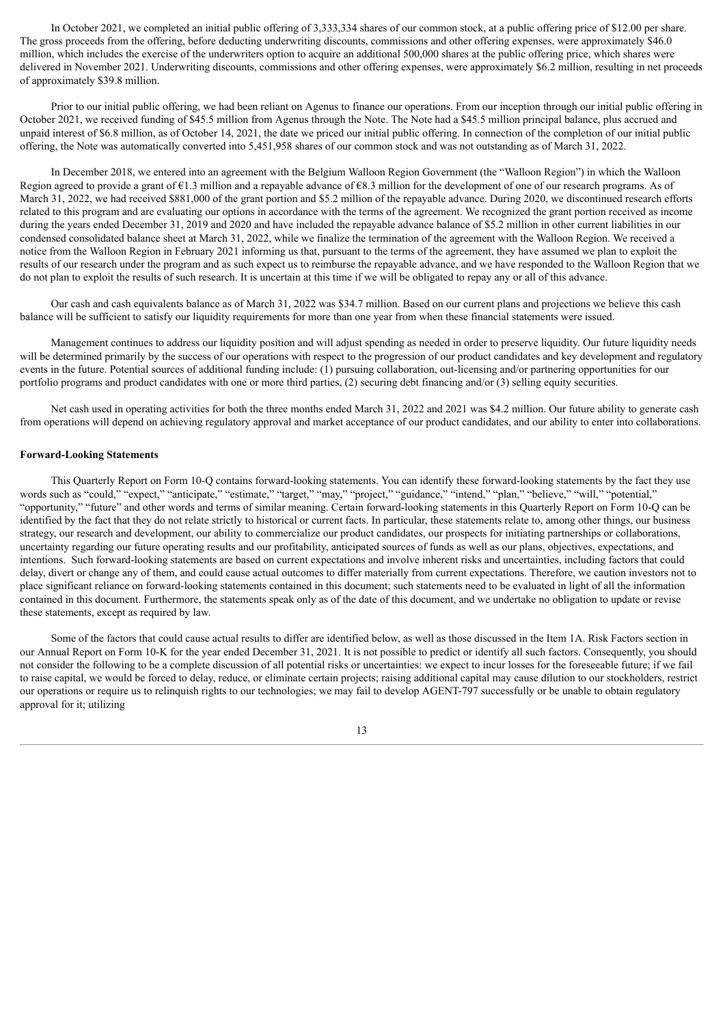In October 2021, we completed an initial public offering of 3,333,334 shares of our common stock, at a public offering price of \$12.00 per share. The gross proceeds from the offering, before deducting underwriting discounts, commissions and other offering expenses, were approximately \$46.0 million, which includes the exercise of the underwriters option to acquire an additional 500,000 shares at the public offering price, which shares were delivered in November 2021. Underwriting discounts, commissions and other offering expenses, were approximately \$6.2 million, resulting in net proceeds of approximately \$39.8 million.

Prior to our initial public offering, we had been reliant on Agenus to finance our operations. From our inception through our initial public offering in October 2021, we received funding of \$45.5 million from Agenus through the Note. The Note had a \$45.5 million principal balance, plus accrued and unpaid interest of \$6.8 million, as of October 14, 2021, the date we priced our initial public offering. In connection of the completion of our initial public offering, the Note was automatically converted into 5,451,958 shares of our common stock and was not outstanding as of March 31, 2022.

In December 2018, we entered into an agreement with the Belgium Walloon Region Government (the "Walloon Region") in which the Walloon Region agreed to provide a grant of  $E1.3$  million and a repayable advance of  $E8.3$  million for the development of one of our research programs. As of March 31, 2022, we had received \$881,000 of the grant portion and \$5.2 million of the repayable advance. During 2020, we discontinued research efforts related to this program and are evaluating our options in accordance with the terms of the agreement. We recognized the grant portion received as income during the years ended December 31, 2019 and 2020 and have included the repayable advance balance of \$5.2 million in other current liabilities in our condensed consolidated balance sheet at March 31, 2022, while we finalize the termination of the agreement with the Walloon Region. We received a notice from the Walloon Region in February 2021 informing us that, pursuant to the terms of the agreement, they have assumed we plan to exploit the results of our research under the program and as such expect us to reimburse the repayable advance, and we have responded to the Walloon Region that we do not plan to exploit the results of such research. It is uncertain at this time if we will be obligated to repay any or all of this advance.

Our cash and cash equivalents balance as of March 31, 2022 was \$34.7 million. Based on our current plans and projections we believe this cash balance will be sufficient to satisfy our liquidity requirements for more than one year from when these financial statements were issued.

Management continues to address our liquidity position and will adjust spending as needed in order to preserve liquidity. Our future liquidity needs will be determined primarily by the success of our operations with respect to the progression of our product candidates and key development and regulatory events in the future. Potential sources of additional funding include: (1) pursuing collaboration, out-licensing and/or partnering opportunities for our portfolio programs and product candidates with one or more third parties, (2) securing debt financing and/or (3) selling equity securities.

Net cash used in operating activities for both the three months ended March 31, 2022 and 2021 was \$4.2 million. Our future ability to generate cash from operations will depend on achieving regulatory approval and market acceptance of our product candidates, and our ability to enter into collaborations.

## **Forward-Looking Statements**

This Quarterly Report on Form 10-Q contains forward-looking statements. You can identify these forward-looking statements by the fact they use words such as "could," "expect," "anticipate," "estimate," "target," "may," "project," "guidance," "intend," "plan," "believe," "will," "potential," "opportunity," "future" and other words and terms of similar meaning. Certain forward-looking statements in this Quarterly Report on Form 10-Q can be identified by the fact that they do not relate strictly to historical or current facts. In particular, these statements relate to, among other things, our business strategy, our research and development, our ability to commercialize our product candidates, our prospects for initiating partnerships or collaborations, uncertainty regarding our future operating results and our profitability, anticipated sources of funds as well as our plans, objectives, expectations, and intentions. Such forward-looking statements are based on current expectations and involve inherent risks and uncertainties, including factors that could delay, divert or change any of them, and could cause actual outcomes to differ materially from current expectations. Therefore, we caution investors not to place significant reliance on forward-looking statements contained in this document; such statements need to be evaluated in light of all the information contained in this document. Furthermore, the statements speak only as of the date of this document, and we undertake no obligation to update or revise these statements, except as required by law.

Some of the factors that could cause actual results to differ are identified below, as well as those discussed in the Item 1A. Risk Factors section in our Annual Report on Form 10-K for the year ended December 31, 2021. It is not possible to predict or identify all such factors. Consequently, you should not consider the following to be a complete discussion of all potential risks or uncertainties: we expect to incur losses for the foreseeable future; if we fail to raise capital, we would be forced to delay, reduce, or eliminate certain projects; raising additional capital may cause dilution to our stockholders, restrict our operations or require us to relinquish rights to our technologies; we may fail to develop AGENT-797 successfully or be unable to obtain regulatory approval for it; utilizing

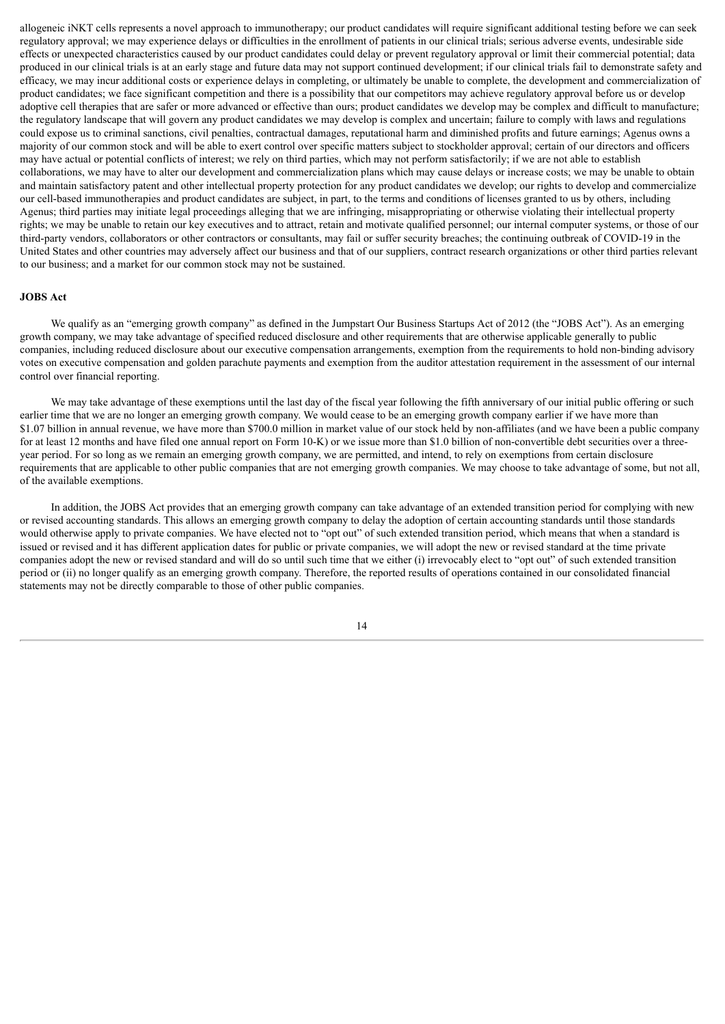allogeneic iNKT cells represents a novel approach to immunotherapy; our product candidates will require significant additional testing before we can seek regulatory approval; we may experience delays or difficulties in the enrollment of patients in our clinical trials; serious adverse events, undesirable side effects or unexpected characteristics caused by our product candidates could delay or prevent regulatory approval or limit their commercial potential; data produced in our clinical trials is at an early stage and future data may not support continued development; if our clinical trials fail to demonstrate safety and efficacy, we may incur additional costs or experience delays in completing, or ultimately be unable to complete, the development and commercialization of product candidates; we face significant competition and there is a possibility that our competitors may achieve regulatory approval before us or develop adoptive cell therapies that are safer or more advanced or effective than ours; product candidates we develop may be complex and difficult to manufacture; the regulatory landscape that will govern any product candidates we may develop is complex and uncertain; failure to comply with laws and regulations could expose us to criminal sanctions, civil penalties, contractual damages, reputational harm and diminished profits and future earnings; Agenus owns a majority of our common stock and will be able to exert control over specific matters subject to stockholder approval; certain of our directors and officers may have actual or potential conflicts of interest; we rely on third parties, which may not perform satisfactorily; if we are not able to establish collaborations, we may have to alter our development and commercialization plans which may cause delays or increase costs; we may be unable to obtain and maintain satisfactory patent and other intellectual property protection for any product candidates we develop; our rights to develop and commercialize our cell-based immunotherapies and product candidates are subject, in part, to the terms and conditions of licenses granted to us by others, including Agenus; third parties may initiate legal proceedings alleging that we are infringing, misappropriating or otherwise violating their intellectual property rights; we may be unable to retain our key executives and to attract, retain and motivate qualified personnel; our internal computer systems, or those of our third-party vendors, collaborators or other contractors or consultants, may fail or suffer security breaches; the continuing outbreak of COVID-19 in the United States and other countries may adversely affect our business and that of our suppliers, contract research organizations or other third parties relevant to our business; and a market for our common stock may not be sustained.

## **JOBS Act**

We qualify as an "emerging growth company" as defined in the Jumpstart Our Business Startups Act of 2012 (the "JOBS Act"). As an emerging growth company, we may take advantage of specified reduced disclosure and other requirements that are otherwise applicable generally to public companies, including reduced disclosure about our executive compensation arrangements, exemption from the requirements to hold non-binding advisory votes on executive compensation and golden parachute payments and exemption from the auditor attestation requirement in the assessment of our internal control over financial reporting.

We may take advantage of these exemptions until the last day of the fiscal year following the fifth anniversary of our initial public offering or such earlier time that we are no longer an emerging growth company. We would cease to be an emerging growth company earlier if we have more than \$1.07 billion in annual revenue, we have more than \$700.0 million in market value of our stock held by non-affiliates (and we have been a public company for at least 12 months and have filed one annual report on Form 10-K) or we issue more than \$1.0 billion of non-convertible debt securities over a threeyear period. For so long as we remain an emerging growth company, we are permitted, and intend, to rely on exemptions from certain disclosure requirements that are applicable to other public companies that are not emerging growth companies. We may choose to take advantage of some, but not all, of the available exemptions.

In addition, the JOBS Act provides that an emerging growth company can take advantage of an extended transition period for complying with new or revised accounting standards. This allows an emerging growth company to delay the adoption of certain accounting standards until those standards would otherwise apply to private companies. We have elected not to "opt out" of such extended transition period, which means that when a standard is issued or revised and it has different application dates for public or private companies, we will adopt the new or revised standard at the time private companies adopt the new or revised standard and will do so until such time that we either (i) irrevocably elect to "opt out" of such extended transition period or (ii) no longer qualify as an emerging growth company. Therefore, the reported results of operations contained in our consolidated financial statements may not be directly comparable to those of other public companies.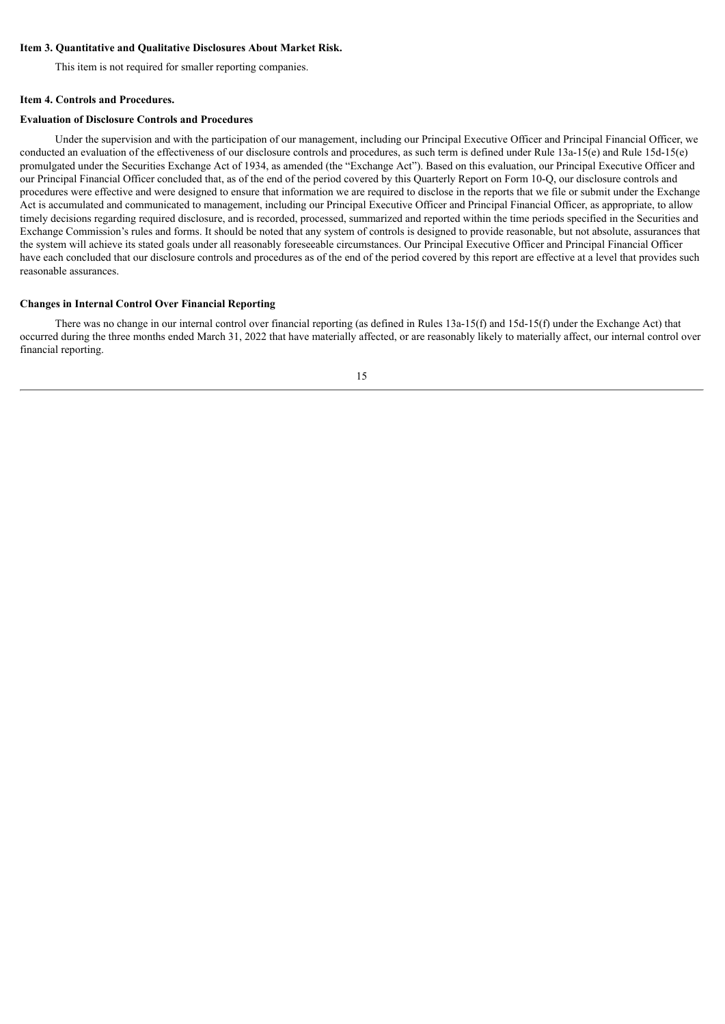#### <span id="page-16-0"></span>**Item 3. Quantitative and Qualitative Disclosures About Market Risk.**

This item is not required for smaller reporting companies.

## <span id="page-16-1"></span>**Item 4. Controls and Procedures.**

## **Evaluation of Disclosure Controls and Procedures**

Under the supervision and with the participation of our management, including our Principal Executive Officer and Principal Financial Officer, we conducted an evaluation of the effectiveness of our disclosure controls and procedures, as such term is defined under Rule 13a-15(e) and Rule 15d-15(e) promulgated under the Securities Exchange Act of 1934, as amended (the "Exchange Act"). Based on this evaluation, our Principal Executive Officer and our Principal Financial Officer concluded that, as of the end of the period covered by this Quarterly Report on Form 10-Q, our disclosure controls and procedures were effective and were designed to ensure that information we are required to disclose in the reports that we file or submit under the Exchange Act is accumulated and communicated to management, including our Principal Executive Officer and Principal Financial Officer, as appropriate, to allow timely decisions regarding required disclosure, and is recorded, processed, summarized and reported within the time periods specified in the Securities and Exchange Commission's rules and forms. It should be noted that any system of controls is designed to provide reasonable, but not absolute, assurances that the system will achieve its stated goals under all reasonably foreseeable circumstances. Our Principal Executive Officer and Principal Financial Officer have each concluded that our disclosure controls and procedures as of the end of the period covered by this report are effective at a level that provides such reasonable assurances.

## **Changes in Internal Control Over Financial Reporting**

There was no change in our internal control over financial reporting (as defined in Rules 13a-15(f) and 15d-15(f) under the Exchange Act) that occurred during the three months ended March 31, 2022 that have materially affected, or are reasonably likely to materially affect, our internal control over financial reporting.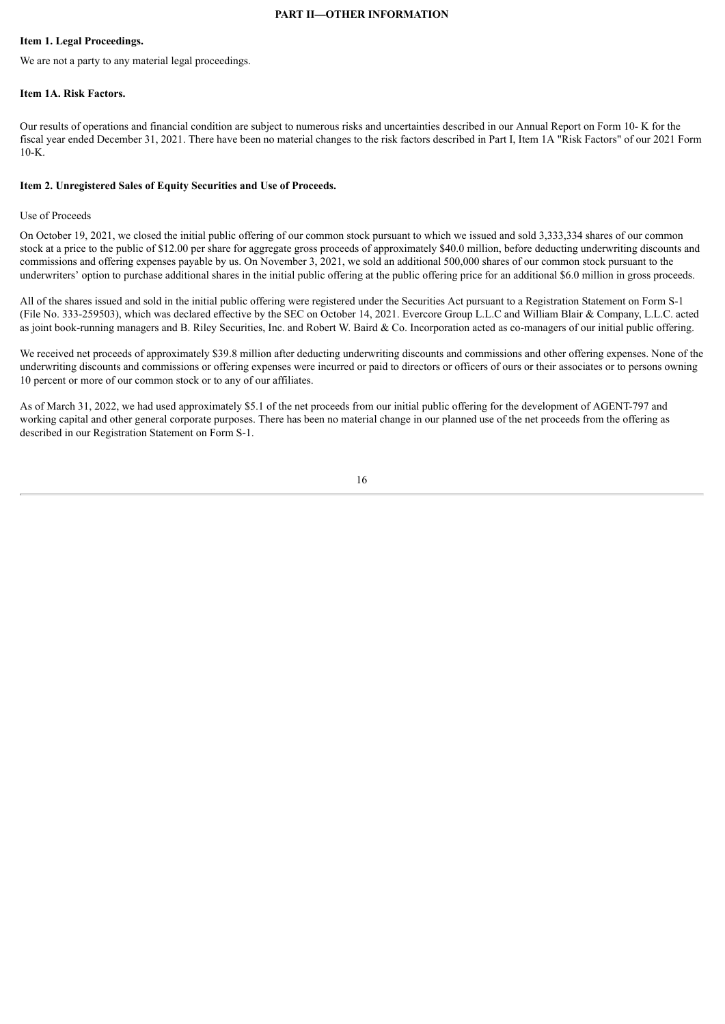## **PART II—OTHER INFORMATION**

## <span id="page-17-1"></span><span id="page-17-0"></span>**Item 1. Legal Proceedings.**

We are not a party to any material legal proceedings.

## <span id="page-17-2"></span>**Item 1A. Risk Factors.**

Our results of operations and financial condition are subject to numerous risks and uncertainties described in our Annual Report on Form 10- K for the fiscal year ended December 31, 2021. There have been no material changes to the risk factors described in Part I, Item 1A "Risk Factors" of our 2021 Form 10-K.

## <span id="page-17-3"></span>**Item 2. Unregistered Sales of Equity Securities and Use of Proceeds.**

## Use of Proceeds

On October 19, 2021, we closed the initial public offering of our common stock pursuant to which we issued and sold 3,333,334 shares of our common stock at a price to the public of \$12.00 per share for aggregate gross proceeds of approximately \$40.0 million, before deducting underwriting discounts and commissions and offering expenses payable by us. On November 3, 2021, we sold an additional 500,000 shares of our common stock pursuant to the underwriters' option to purchase additional shares in the initial public offering at the public offering price for an additional \$6.0 million in gross proceeds.

All of the shares issued and sold in the initial public offering were registered under the Securities Act pursuant to a Registration Statement on Form S-1 (File No. 333-259503), which was declared effective by the SEC on October 14, 2021. Evercore Group L.L.C and William Blair & Company, L.L.C. acted as joint book-running managers and B. Riley Securities, Inc. and Robert W. Baird & Co. Incorporation acted as co-managers of our initial public offering.

We received net proceeds of approximately \$39.8 million after deducting underwriting discounts and commissions and other offering expenses. None of the underwriting discounts and commissions or offering expenses were incurred or paid to directors or officers of ours or their associates or to persons owning 10 percent or more of our common stock or to any of our affiliates.

As of March 31, 2022, we had used approximately \$5.1 of the net proceeds from our initial public offering for the development of AGENT-797 and working capital and other general corporate purposes. There has been no material change in our planned use of the net proceeds from the offering as described in our Registration Statement on Form S-1.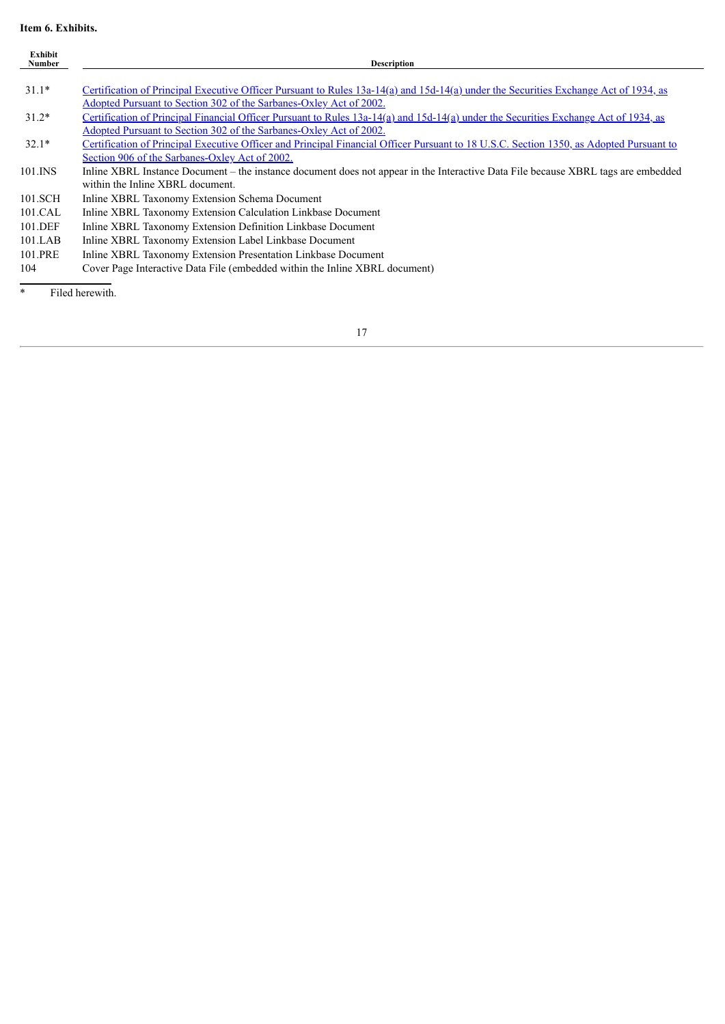## <span id="page-18-0"></span>**Item 6. Exhibits.**

| Exhibit<br><b>Number</b> | <b>Description</b>                                                                                                                      |
|--------------------------|-----------------------------------------------------------------------------------------------------------------------------------------|
|                          |                                                                                                                                         |
| $31.1*$                  | Certification of Principal Executive Officer Pursuant to Rules 13a-14(a) and 15d-14(a) under the Securities Exchange Act of 1934, as    |
|                          | Adopted Pursuant to Section 302 of the Sarbanes-Oxley Act of 2002.                                                                      |
| $31.2*$                  | Certification of Principal Financial Officer Pursuant to Rules 13a-14(a) and 15d-14(a) under the Securities Exchange Act of 1934, as    |
|                          | Adopted Pursuant to Section 302 of the Sarbanes-Oxley Act of 2002.                                                                      |
| $32.1*$                  | Certification of Principal Executive Officer and Principal Financial Officer Pursuant to 18 U.S.C. Section 1350, as Adopted Pursuant to |
|                          | Section 906 of the Sarbanes-Oxley Act of 2002.                                                                                          |
| 101.INS                  | Inline XBRL Instance Document – the instance document does not appear in the Interactive Data File because XBRL tags are embedded       |
|                          | within the Inline XBRL document.                                                                                                        |
| 101.SCH                  | Inline XBRL Taxonomy Extension Schema Document                                                                                          |
| 101.CAL                  | Inline XBRL Taxonomy Extension Calculation Linkbase Document                                                                            |
| 101.DEF                  | Inline XBRL Taxonomy Extension Definition Linkbase Document                                                                             |
| $101$ .LAB               | Inline XBRL Taxonomy Extension Label Linkbase Document                                                                                  |
| 101.PRE                  | Inline XBRL Taxonomy Extension Presentation Linkbase Document                                                                           |
| 104                      | Cover Page Interactive Data File (embedded within the Inline XBRL document)                                                             |
| $\ast$                   | Filed herewith.                                                                                                                         |

-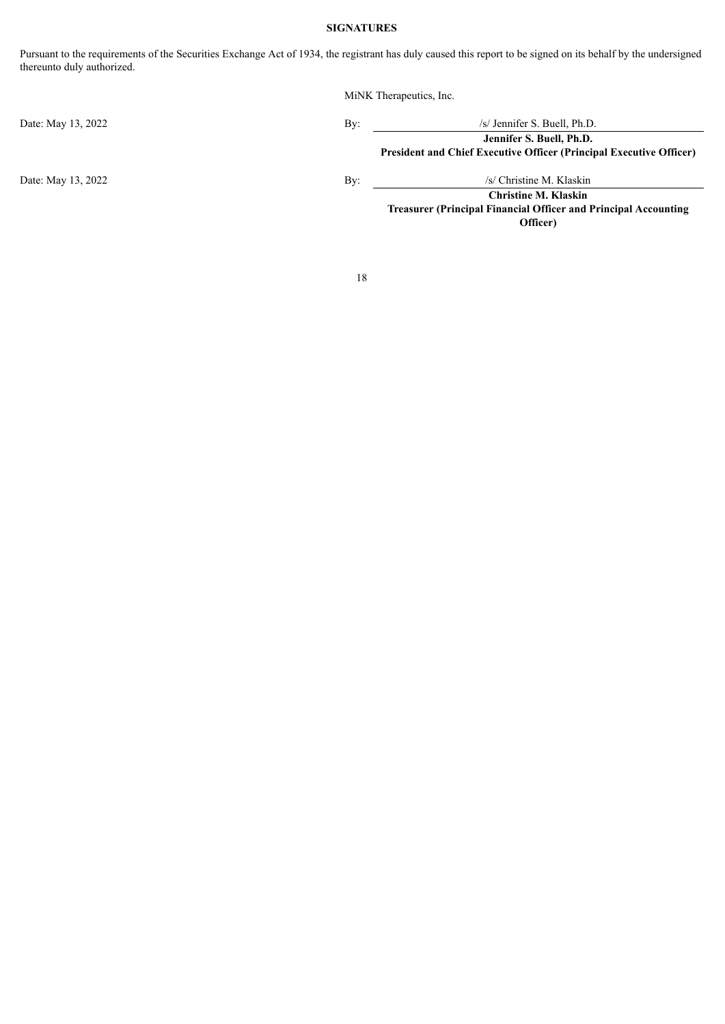## **SIGNATURES**

<span id="page-19-0"></span>Pursuant to the requirements of the Securities Exchange Act of 1934, the registrant has duly caused this report to be signed on its behalf by the undersigned thereunto duly authorized.

MiNK Therapeutics, Inc.

Date: May 13, 2022 By: /s/ Jennifer S. Buell, Ph.D. **Jennifer S. Buell, Ph.D.**

**President and Chief Executive Officer (Principal Executive Officer)**

Date: May 13, 2022 By: /s/ Christine M. Klaskin

**Christine M. Klaskin Treasurer (Principal Financial Officer and Principal Accounting Officer)**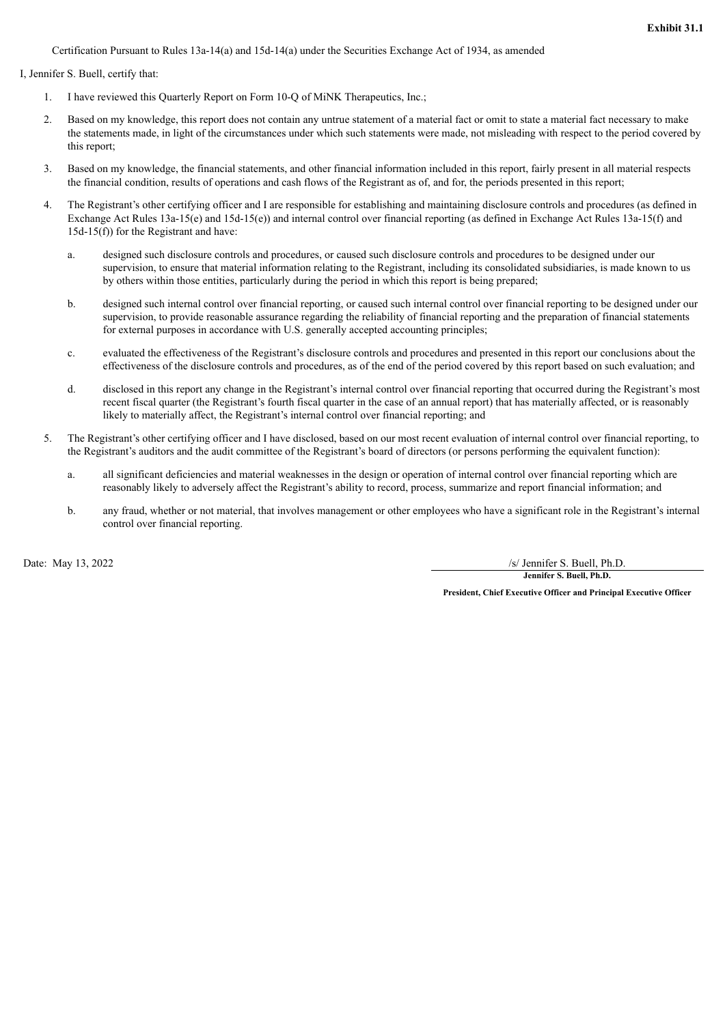**Exhibit 31.1**

<span id="page-20-0"></span>Certification Pursuant to Rules 13a-14(a) and 15d-14(a) under the Securities Exchange Act of 1934, as amended

I, Jennifer S. Buell, certify that:

- 1. I have reviewed this Quarterly Report on Form 10-Q of MiNK Therapeutics, Inc.;
- 2. Based on my knowledge, this report does not contain any untrue statement of a material fact or omit to state a material fact necessary to make the statements made, in light of the circumstances under which such statements were made, not misleading with respect to the period covered by this report;
- 3. Based on my knowledge, the financial statements, and other financial information included in this report, fairly present in all material respects the financial condition, results of operations and cash flows of the Registrant as of, and for, the periods presented in this report;
- 4. The Registrant's other certifying officer and I are responsible for establishing and maintaining disclosure controls and procedures (as defined in Exchange Act Rules 13a-15(e) and 15d-15(e)) and internal control over financial reporting (as defined in Exchange Act Rules 13a-15(f) and 15d-15(f)) for the Registrant and have:
	- a. designed such disclosure controls and procedures, or caused such disclosure controls and procedures to be designed under our supervision, to ensure that material information relating to the Registrant, including its consolidated subsidiaries, is made known to us by others within those entities, particularly during the period in which this report is being prepared;
	- b. designed such internal control over financial reporting, or caused such internal control over financial reporting to be designed under our supervision, to provide reasonable assurance regarding the reliability of financial reporting and the preparation of financial statements for external purposes in accordance with U.S. generally accepted accounting principles;
	- c. evaluated the effectiveness of the Registrant's disclosure controls and procedures and presented in this report our conclusions about the effectiveness of the disclosure controls and procedures, as of the end of the period covered by this report based on such evaluation; and
	- d. disclosed in this report any change in the Registrant's internal control over financial reporting that occurred during the Registrant's most recent fiscal quarter (the Registrant's fourth fiscal quarter in the case of an annual report) that has materially affected, or is reasonably likely to materially affect, the Registrant's internal control over financial reporting; and
- 5. The Registrant's other certifying officer and I have disclosed, based on our most recent evaluation of internal control over financial reporting, to the Registrant's auditors and the audit committee of the Registrant's board of directors (or persons performing the equivalent function):
	- a. all significant deficiencies and material weaknesses in the design or operation of internal control over financial reporting which are reasonably likely to adversely affect the Registrant's ability to record, process, summarize and report financial information; and
	- b. any fraud, whether or not material, that involves management or other employees who have a significant role in the Registrant's internal control over financial reporting.

Date: May 13, 2022 /s/ Jennifer S. Buell, Ph.D. **Jennifer S. Buell, Ph.D.**

**President, Chief Executive Officer and Principal Executive Officer**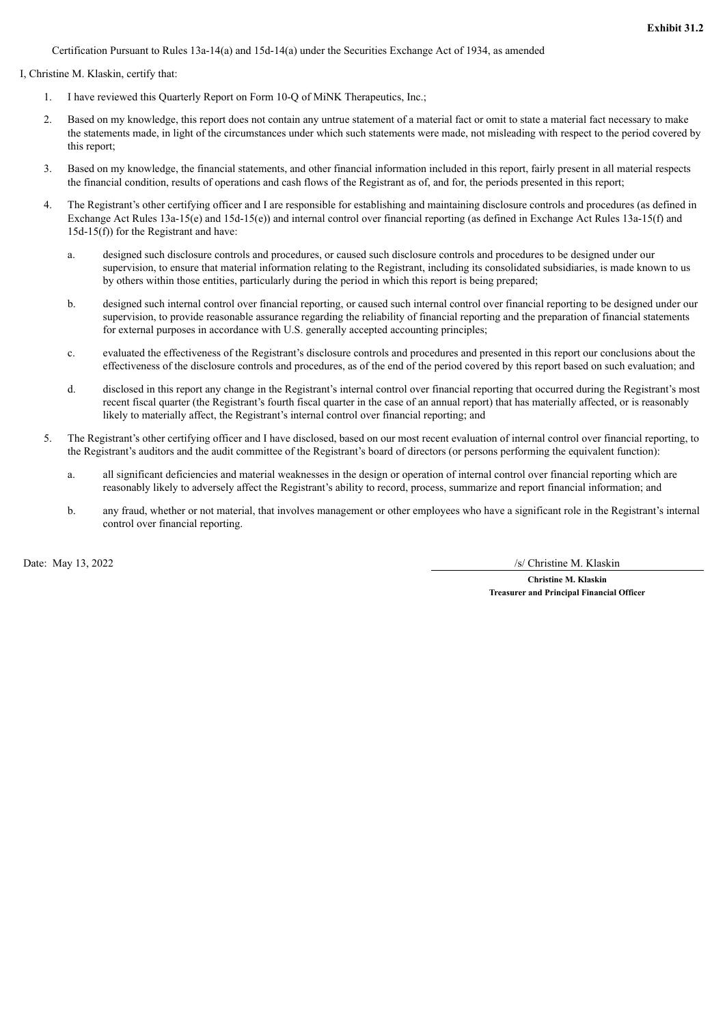<span id="page-21-0"></span>Certification Pursuant to Rules 13a-14(a) and 15d-14(a) under the Securities Exchange Act of 1934, as amended

I, Christine M. Klaskin, certify that:

- 1. I have reviewed this Quarterly Report on Form 10-Q of MiNK Therapeutics, Inc.;
- 2. Based on my knowledge, this report does not contain any untrue statement of a material fact or omit to state a material fact necessary to make the statements made, in light of the circumstances under which such statements were made, not misleading with respect to the period covered by this report;
- 3. Based on my knowledge, the financial statements, and other financial information included in this report, fairly present in all material respects the financial condition, results of operations and cash flows of the Registrant as of, and for, the periods presented in this report;
- 4. The Registrant's other certifying officer and I are responsible for establishing and maintaining disclosure controls and procedures (as defined in Exchange Act Rules 13a-15(e) and 15d-15(e)) and internal control over financial reporting (as defined in Exchange Act Rules 13a-15(f) and 15d-15(f)) for the Registrant and have:
	- a. designed such disclosure controls and procedures, or caused such disclosure controls and procedures to be designed under our supervision, to ensure that material information relating to the Registrant, including its consolidated subsidiaries, is made known to us by others within those entities, particularly during the period in which this report is being prepared;
	- b. designed such internal control over financial reporting, or caused such internal control over financial reporting to be designed under our supervision, to provide reasonable assurance regarding the reliability of financial reporting and the preparation of financial statements for external purposes in accordance with U.S. generally accepted accounting principles;
	- c. evaluated the effectiveness of the Registrant's disclosure controls and procedures and presented in this report our conclusions about the effectiveness of the disclosure controls and procedures, as of the end of the period covered by this report based on such evaluation; and
	- d. disclosed in this report any change in the Registrant's internal control over financial reporting that occurred during the Registrant's most recent fiscal quarter (the Registrant's fourth fiscal quarter in the case of an annual report) that has materially affected, or is reasonably likely to materially affect, the Registrant's internal control over financial reporting; and
- 5. The Registrant's other certifying officer and I have disclosed, based on our most recent evaluation of internal control over financial reporting, to the Registrant's auditors and the audit committee of the Registrant's board of directors (or persons performing the equivalent function):
	- a. all significant deficiencies and material weaknesses in the design or operation of internal control over financial reporting which are reasonably likely to adversely affect the Registrant's ability to record, process, summarize and report financial information; and
	- b. any fraud, whether or not material, that involves management or other employees who have a significant role in the Registrant's internal control over financial reporting.

Date: May 13, 2022 /s/ Christine M. Klaskin

**Christine M. Klaskin Treasurer and Principal Financial Officer**